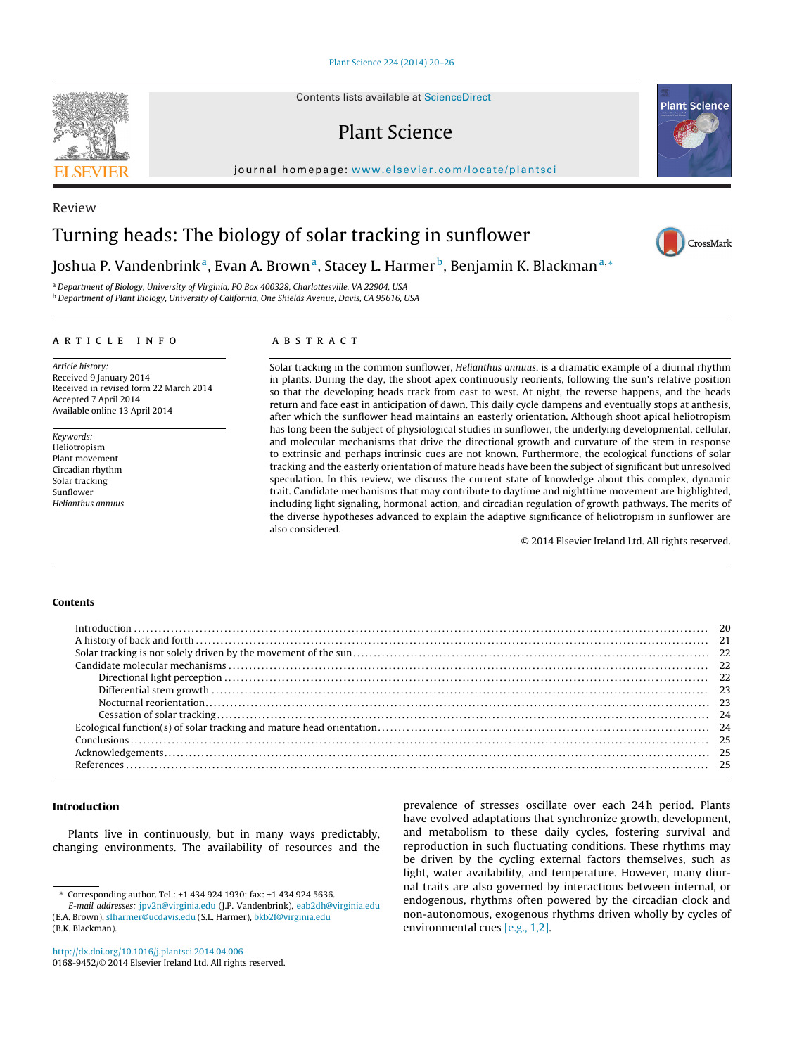Contents lists available at [ScienceDirect](http://www.sciencedirect.com/science/journal/01689452)

# Plant Science

journal homepage: [www.elsevier.com/locate/plantsci](http://www.elsevier.com/locate/plantsci)



# Joshua P. Vandenbrink<sup>a</sup>, Evan A. Brown<sup>a</sup>, Stacey L. Harmer<sup>b</sup>, Benjamin K. Blackman<sup>a,</sup>\*

<sup>a</sup> Department of Biology, University of Virginia, PO Box 400328, Charlottesville, VA 22904, USA

<sup>b</sup> Department of Plant Biology, University of California, One Shields Avenue, Davis, CA 95616, USA

# a r t i c l e i n f o

Article history: Received 9 January 2014 Received in revised form 22 March 2014 Accepted 7 April 2014 Available online 13 April 2014

Keywords: Heliotropism Plant movement Circadian rhythm Solar tracking Sunflower Helianthus annuus

# A B S T R A C T

Solar tracking in the common sunflower, Helianthus annuus, is a dramatic example of a diurnal rhythm in plants. During the day, the shoot apex continuously reorients, following the sun's relative position so that the developing heads track from east to west. At night, the reverse happens, and the heads return and face east in anticipation of dawn. This daily cycle dampens and eventually stops at anthesis, after which the sunflower head maintains an easterly orientation. Although shoot apical heliotropism has long been the subject of physiological studies in sunflower, the underlying developmental, cellular, and molecular mechanisms that drive the directional growth and curvature of the stem in response to extrinsic and perhaps intrinsic cues are not known. Furthermore, the ecological functions of solar tracking and the easterly orientation of mature heads have been the subject of significant but unresolved speculation. In this review, we discuss the current state of knowledge about this complex, dynamic trait. Candidate mechanisms that may contribute to daytime and nighttime movement are highlighted, including light signaling, hormonal action, and circadian regulation of growth pathways. The merits of the diverse hypotheses advanced to explain the adaptive significance of heliotropism in sunflower are also considered.

© 2014 Elsevier Ireland Ltd. All rights reserved.

## **Contents**

| $Introduction \dots 120$ |
|--------------------------|
|--------------------------|

#### **Introduction**

Plants live in continuously, but in many ways predictably, changing environments. The availability of resources and the

[http://dx.doi.org/10.1016/j.plantsci.2014.04.006](dx.doi.org/10.1016/j.plantsci.2014.04.006) 0168-9452/© 2014 Elsevier Ireland Ltd. All rights reserved.

prevalence of stresses oscillate over each 24h period. Plants have evolved adaptations that synchronize growth, development, and metabolism to these daily cycles, fostering survival and reproduction in such fluctuating conditions. These rhythms may be driven by the cycling external factors themselves, such as light, water availability, and temperature. However, many diurnal traits are also governed by interactions between internal, or endogenous, rhythms often powered by the circadian clock and non-autonomous, exogenous rhythms driven wholly by cycles of environmental cues [\[e.g.,](#page-5-0) [1,2\].](#page-5-0)





CrossMark

<sup>∗</sup> Corresponding author. Tel.: +1 434 924 1930; fax: +1 434 924 5636.

E-mail addresses: [jpv2n@virginia.edu](mailto:jpv2n@virginia.edu) (J.P. Vandenbrink), [eab2dh@virginia.edu](mailto:eab2dh@virginia.edu) (E.A. Brown), [slharmer@ucdavis.edu](mailto:slharmer@ucdavis.edu) (S.L. Harmer), [bkb2f@virginia.edu](mailto:bkb2f@virginia.edu) (B.K. Blackman).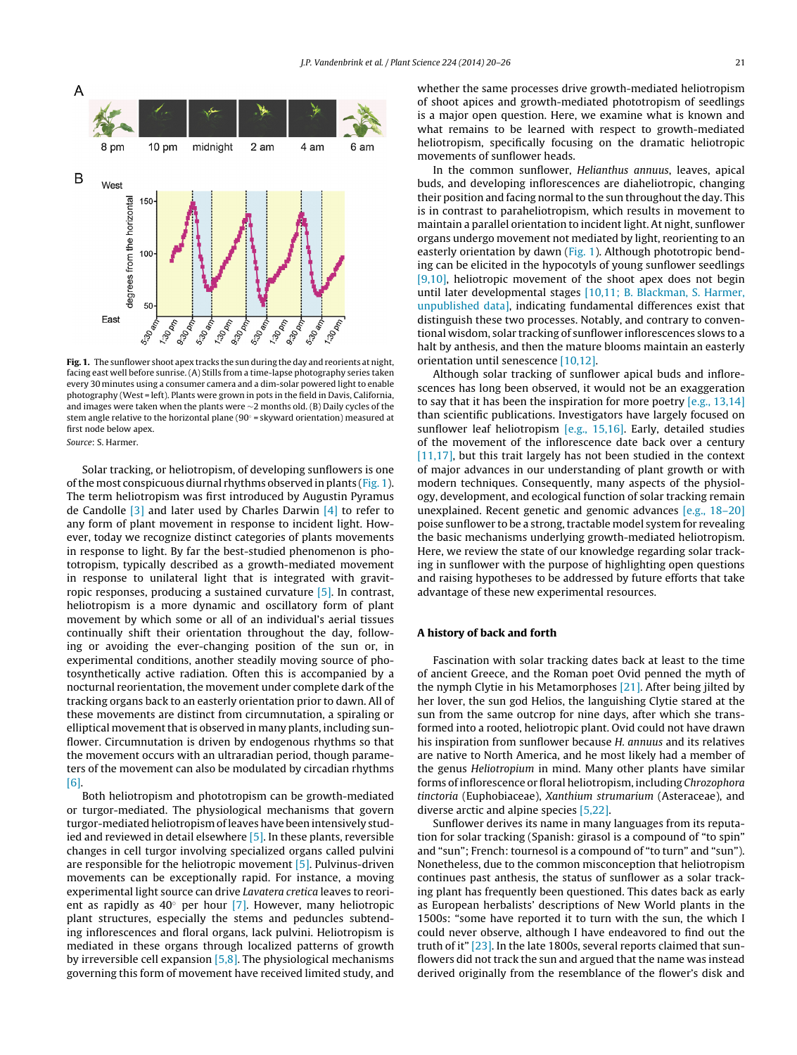<span id="page-1-0"></span>

**Fig. 1.** The sunflower shoot apex tracks the sun during the day and reorients at night, facing east well before sunrise. (A) Stills from a time-lapse photography series taken every 30 minutes using a consumer camera and a dim-solar powered light to enable photography (West = left). Plants were grown in pots in the field in Davis, California, and images were taken when the plants were ∼2 months old. (B) Daily cycles of the stem angle relative to the horizontal plane (90◦ = skyward orientation) measured at first node below apex.

Source: S. Harmer.

Solar tracking, or heliotropism, of developing sunflowers is one ofthe most conspicuous diurnal rhythms observed in plants (Fig. 1). The term heliotropism was first introduced by Augustin Pyramus de Candolle [\[3\]](#page-5-0) and later used by Charles Darwin [\[4\]](#page-5-0) to refer to any form of plant movement in response to incident light. However, today we recognize distinct categories of plants movements in response to light. By far the best-studied phenomenon is phototropism, typically described as a growth-mediated movement in response to unilateral light that is integrated with gravitropic responses, producing a sustained curvature [\[5\].](#page-5-0) In contrast, heliotropism is a more dynamic and oscillatory form of plant movement by which some or all of an individual's aerial tissues continually shift their orientation throughout the day, following or avoiding the ever-changing position of the sun or, in experimental conditions, another steadily moving source of photosynthetically active radiation. Often this is accompanied by a nocturnal reorientation, the movement under complete dark of the tracking organs back to an easterly orientation prior to dawn. All of these movements are distinct from circumnutation, a spiraling or elliptical movement that is observed in many plants, including sunflower. Circumnutation is driven by endogenous rhythms so that the movement occurs with an ultraradian period, though parameters of the movement can also be modulated by circadian rhythms [\[6\].](#page-5-0)

Both heliotropism and phototropism can be growth-mediated or turgor-mediated. The physiological mechanisms that govern turgor-mediated heliotropismofleaves have been intensively studied and reviewed in detail elsewhere [\[5\].](#page-5-0) In these plants, reversible changes in cell turgor involving specialized organs called pulvini are responsible for the heliotropic movement [\[5\].](#page-5-0) Pulvinus-driven movements can be exceptionally rapid. For instance, a moving experimental light source can drive Lavatera cretica leaves to reorient as rapidly as 40◦ per hour [\[7\].](#page-5-0) However, many heliotropic plant structures, especially the stems and peduncles subtending inflorescences and floral organs, lack pulvini. Heliotropism is mediated in these organs through localized patterns of growth by irreversible cell expansion [\[5,8\].](#page-5-0) The physiological mechanisms governing this form of movement have received limited study, and

whether the same processes drive growth-mediated heliotropism of shoot apices and growth-mediated phototropism of seedlings is a major open question. Here, we examine what is known and what remains to be learned with respect to growth-mediated heliotropism, specifically focusing on the dramatic heliotropic movements of sunflower heads.

In the common sunflower, Helianthus annuus, leaves, apical buds, and developing inflorescences are diaheliotropic, changing their position and facing normal to the sun throughout the day. This is in contrast to paraheliotropism, which results in movement to maintain a parallel orientation to incident light. At night, sunflower organs undergo movement not mediated by light, reorienting to an easterly orientation by dawn (Fig. 1). Although phototropic bending can be elicited in the hypocotyls of young sunflower seedlings [\[9,10\],](#page-5-0) heliotropic movement of the shoot apex does not begin until later developmental stages [\[10,11;](#page-5-0) [B.](#page-5-0) [Blackman,](#page-5-0) [S.](#page-5-0) [Harmer,](#page-5-0) [unpublished](#page-5-0) [data\],](#page-5-0) indicating fundamental differences exist that distinguish these two processes. Notably, and contrary to conventional wisdom, solar tracking of sunflower inflorescences slows to a halt by anthesis, and then the mature blooms maintain an easterly orientation until senescence [\[10,12\].](#page-5-0)

Although solar tracking of sunflower apical buds and inflorescences has long been observed, it would not be an exaggeration to say that it has been the inspiration for more poetry [\[e.g.,](#page-5-0) [13,14\]](#page-5-0) than scientific publications. Investigators have largely focused on sunflower leaf heliotropism  $[e.g., 15,16]$  $[e.g., 15,16]$ . Early, detailed studies of the movement of the inflorescence date back over a century [\[11,17\],](#page-5-0) but this trait largely has not been studied in the context of major advances in our understanding of plant growth or with modern techniques. Consequently, many aspects of the physiology, development, and ecological function of solar tracking remain unexplained. Recent genetic and genomic advances [\[e.g.,](#page-5-0) [18–20\]](#page-5-0) poise sunflower to be a strong, tractable model system for revealing the basic mechanisms underlying growth-mediated heliotropism. Here, we review the state of our knowledge regarding solar tracking in sunflower with the purpose of highlighting open questions and raising hypotheses to be addressed by future efforts that take advantage of these new experimental resources.

#### **A history of back and forth**

Fascination with solar tracking dates back at least to the time of ancient Greece, and the Roman poet Ovid penned the myth of the nymph Clytie in his Metamorphoses [\[21\].](#page-5-0) After being jilted by her lover, the sun god Helios, the languishing Clytie stared at the sun from the same outcrop for nine days, after which she transformed into a rooted, heliotropic plant. Ovid could not have drawn his inspiration from sunflower because H. annuus and its relatives are native to North America, and he most likely had a member of the genus Heliotropium in mind. Many other plants have similar forms of inflorescence or floral heliotropism, including Chrozophora tinctoria (Euphobiaceae), Xanthium strumarium (Asteraceae), and diverse arctic and alpine species [\[5,22\].](#page-5-0)

Sunflower derives its name in many languages from its reputation for solar tracking (Spanish: girasol is a compound of "to spin" and "sun"; French: tournesol is a compound of "to turn" and "sun"). Nonetheless, due to the common misconception that heliotropism continues past anthesis, the status of sunflower as a solar tracking plant has frequently been questioned. This dates back as early as European herbalists' descriptions of New World plants in the 1500s: "some have reported it to turn with the sun, the which I could never observe, although I have endeavored to find out the truth of it" [\[23\].](#page-5-0) In the late 1800s, several reports claimed that sunflowers did not track the sun and argued that the name was instead derived originally from the resemblance of the flower's disk and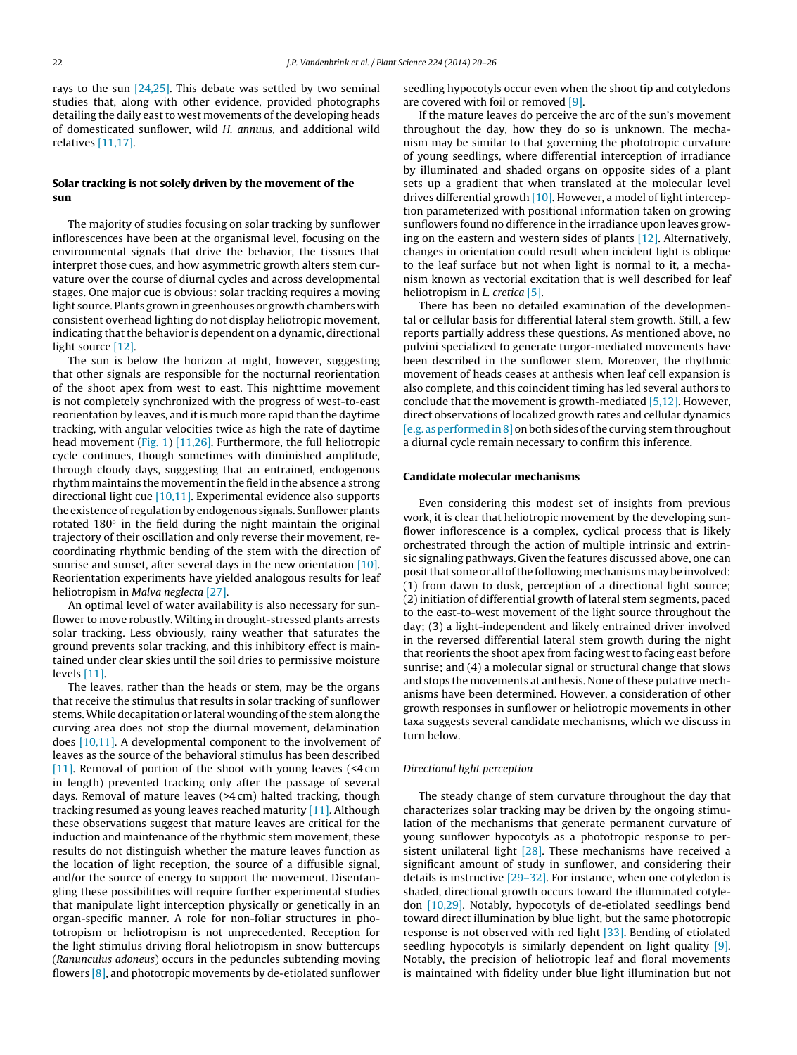rays to the sun [\[24,25\].](#page-5-0) This debate was settled by two seminal studies that, along with other evidence, provided photographs detailing the daily east to west movements of the developing heads of domesticated sunflower, wild H. annuus, and additional wild relatives [\[11,17\].](#page-5-0)

# **Solar tracking is not solely driven by the movement of the sun**

The majority of studies focusing on solar tracking by sunflower inflorescences have been at the organismal level, focusing on the environmental signals that drive the behavior, the tissues that interpret those cues, and how asymmetric growth alters stem curvature over the course of diurnal cycles and across developmental stages. One major cue is obvious: solar tracking requires a moving light source. Plants grown in greenhouses or growth chambers with consistent overhead lighting do not display heliotropic movement, indicating that the behavior is dependent on a dynamic, directional light source [\[12\].](#page-5-0)

The sun is below the horizon at night, however, suggesting that other signals are responsible for the nocturnal reorientation of the shoot apex from west to east. This nighttime movement is not completely synchronized with the progress of west-to-east reorientation by leaves, and it is much more rapid than the daytime tracking, with angular velocities twice as high the rate of daytime head movement [\(Fig.](#page-1-0) 1) [\[11,26\].](#page-5-0) Furthermore, the full heliotropic cycle continues, though sometimes with diminished amplitude, through cloudy days, suggesting that an entrained, endogenous rhythm maintains the movement in the field in the absence a strong directional light cue [\[10,11\].](#page-5-0) Experimental evidence also supports the existence of regulation by endogenous signals. Sunflower plants rotated 180◦ in the field during the night maintain the original trajectory of their oscillation and only reverse their movement, recoordinating rhythmic bending of the stem with the direction of sunrise and sunset, after several days in the new orientation [\[10\].](#page-5-0) Reorientation experiments have yielded analogous results for leaf heliotropism in Malva neglecta [\[27\].](#page-5-0)

An optimal level of water availability is also necessary for sunflower to move robustly. Wilting in drought-stressed plants arrests solar tracking. Less obviously, rainy weather that saturates the ground prevents solar tracking, and this inhibitory effect is maintained under clear skies until the soil dries to permissive moisture levels [\[11\].](#page-5-0)

The leaves, rather than the heads or stem, may be the organs that receive the stimulus that results in solar tracking of sunflower stems. While decapitation or lateral wounding of the stem along the curving area does not stop the diurnal movement, delamination does [\[10,11\].](#page-5-0) A developmental component to the involvement of leaves as the source of the behavioral stimulus has been described [\[11\].](#page-5-0) Removal of portion of the shoot with young leaves (<4 cm) in length) prevented tracking only after the passage of several days. Removal of mature leaves (>4 cm) halted tracking, though tracking resumed as young leaves reached maturity [\[11\].](#page-5-0) Although these observations suggest that mature leaves are critical for the induction and maintenance of the rhythmic stem movement, these results do not distinguish whether the mature leaves function as the location of light reception, the source of a diffusible signal, and/or the source of energy to support the movement. Disentangling these possibilities will require further experimental studies that manipulate light interception physically or genetically in an organ-specific manner. A role for non-foliar structures in phototropism or heliotropism is not unprecedented. Reception for the light stimulus driving floral heliotropism in snow buttercups (Ranunculus adoneus) occurs in the peduncles subtending moving flowers [\[8\],](#page-5-0) and phototropic movements by de-etiolated sunflower

seedling hypocotyls occur even when the shoot tip and cotyledons are covered with foil or removed [\[9\].](#page-5-0)

If the mature leaves do perceive the arc of the sun's movement throughout the day, how they do so is unknown. The mechanism may be similar to that governing the phototropic curvature of young seedlings, where differential interception of irradiance by illuminated and shaded organs on opposite sides of a plant sets up a gradient that when translated at the molecular level drives differential growth [\[10\].](#page-5-0) However, a model of light interception parameterized with positional information taken on growing sunflowers found no difference in the irradiance upon leaves growing on the eastern and western sides of plants [\[12\].](#page-5-0) Alternatively, changes in orientation could result when incident light is oblique to the leaf surface but not when light is normal to it, a mechanism known as vectorial excitation that is well described for leaf heliotropism in *L. cretica* [\[5\].](#page-5-0)

There has been no detailed examination of the developmental or cellular basis for differential lateral stem growth. Still, a few reports partially address these questions. As mentioned above, no pulvini specialized to generate turgor-mediated movements have been described in the sunflower stem. Moreover, the rhythmic movement of heads ceases at anthesis when leaf cell expansion is also complete, and this coincident timing has led several authors to conclude that the movement is growth-mediated [\[5,12\].](#page-5-0) However, direct observations of localized growth rates and cellular dynamics  $[e.g.$  as performed in 8 on both sides of the curving stem throughout a diurnal cycle remain necessary to confirm this inference.

#### **Candidate molecular mechanisms**

Even considering this modest set of insights from previous work, it is clear that heliotropic movement by the developing sunflower inflorescence is a complex, cyclical process that is likely orchestrated through the action of multiple intrinsic and extrinsic signaling pathways. Given the features discussed above, one can posit that some or all of the following mechanisms may be involved: (1) from dawn to dusk, perception of a directional light source; (2) initiation of differential growth of lateral stem segments, paced to the east-to-west movement of the light source throughout the day; (3) a light-independent and likely entrained driver involved in the reversed differential lateral stem growth during the night that reorients the shoot apex from facing west to facing east before sunrise; and (4) a molecular signal or structural change that slows and stops the movements at anthesis. None of these putative mechanisms have been determined. However, a consideration of other growth responses in sunflower or heliotropic movements in other taxa suggests several candidate mechanisms, which we discuss in turn below.

#### Directional light perception

The steady change of stem curvature throughout the day that characterizes solar tracking may be driven by the ongoing stimulation of the mechanisms that generate permanent curvature of young sunflower hypocotyls as a phototropic response to persistent unilateral light  $[28]$ . These mechanisms have received a significant amount of study in sunflower, and considering their details is instructive [\[29–32\].](#page-5-0) For instance, when one cotyledon is shaded, directional growth occurs toward the illuminated cotyledon [\[10,29\].](#page-5-0) Notably, hypocotyls of de-etiolated seedlings bend toward direct illumination by blue light, but the same phototropic response is not observed with red light [\[33\].](#page-5-0) Bending of etiolated seedling hypocotyls is similarly dependent on light quality  $[9]$ . Notably, the precision of heliotropic leaf and floral movements is maintained with fidelity under blue light illumination but not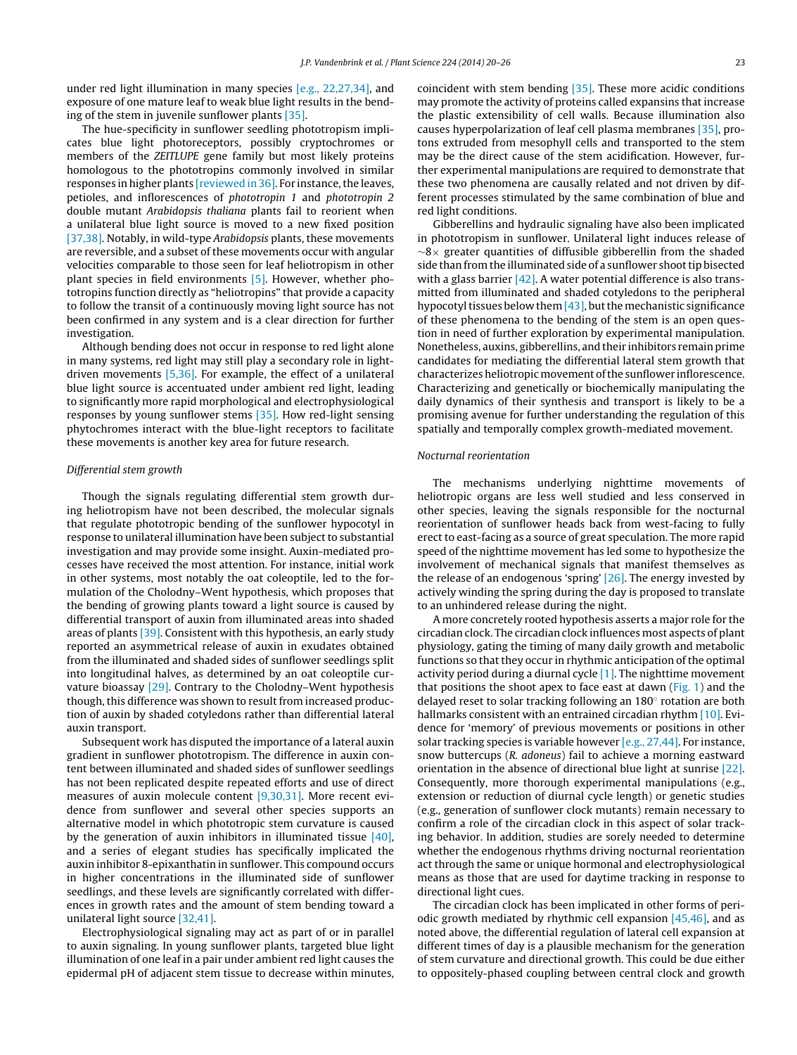under red light illumination in many species [\[e.g.,](#page-5-0) [22,27,34\],](#page-5-0) and exposure of one mature leaf to weak blue light results in the bending of the stem in juvenile sunflower plants [\[35\].](#page-5-0)

The hue-specificity in sunflower seedling phototropism implicates blue light photoreceptors, possibly cryptochromes or members of the ZEITLUPE gene family but most likely proteins homologous to the phototropins commonly involved in similar responses in higher plants [\[reviewed](#page-5-0) [in](#page-5-0) [36\].](#page-5-0) For instance, the leaves, petioles, and inflorescences of phototropin 1 and phototropin 2 double mutant Arabidopsis thaliana plants fail to reorient when a unilateral blue light source is moved to a new fixed position [\[37,38\].](#page-5-0) Notably, in wild-type Arabidopsis plants, these movements are reversible, and a subset of these movements occur with angular velocities comparable to those seen for leaf heliotropism in other plant species in field environments [\[5\].](#page-5-0) However, whether phototropins function directly as "heliotropins" that provide a capacity to follow the transit of a continuously moving light source has not been confirmed in any system and is a clear direction for further investigation.

Although bending does not occur in response to red light alone in many systems, red light may still play a secondary role in lightdriven movements [\[5,36\].](#page-5-0) For example, the effect of a unilateral blue light source is accentuated under ambient red light, leading to significantly more rapid morphological and electrophysiological responses by young sunflower stems [\[35\].](#page-5-0) How red-light sensing phytochromes interact with the blue-light receptors to facilitate these movements is another key area for future research.

#### Differential stem growth

Though the signals regulating differential stem growth during heliotropism have not been described, the molecular signals that regulate phototropic bending of the sunflower hypocotyl in response to unilateral illumination have been subject to substantial investigation and may provide some insight. Auxin-mediated processes have received the most attention. For instance, initial work in other systems, most notably the oat coleoptile, led to the formulation of the Cholodny–Went hypothesis, which proposes that the bending of growing plants toward a light source is caused by differential transport of auxin from illuminated areas into shaded areas of plants [\[39\].](#page-5-0) Consistent with this hypothesis, an early study reported an asymmetrical release of auxin in exudates obtained from the illuminated and shaded sides of sunflower seedlings split into longitudinal halves, as determined by an oat coleoptile curvature bioassay [\[29\].](#page-5-0) Contrary to the Cholodny–Went hypothesis though, this difference was shown to result from increased production of auxin by shaded cotyledons rather than differential lateral auxin transport.

Subsequent work has disputed the importance of a lateral auxin gradient in sunflower phototropism. The difference in auxin content between illuminated and shaded sides of sunflower seedlings has not been replicated despite repeated efforts and use of direct measures of auxin molecule content [\[9,30,31\].](#page-5-0) More recent evidence from sunflower and several other species supports an alternative model in which phototropic stem curvature is caused by the generation of auxin inhibitors in illuminated tissue [\[40\],](#page-5-0) and a series of elegant studies has specifically implicated the auxin inhibitor 8-epixanthatin in sunflower. This compound occurs in higher concentrations in the illuminated side of sunflower seedlings, and these levels are significantly correlated with differences in growth rates and the amount of stem bending toward a unilateral light source [\[32,41\].](#page-5-0)

Electrophysiological signaling may act as part of or in parallel to auxin signaling. In young sunflower plants, targeted blue light illumination of one leaf in a pair under ambient red light causes the epidermal pH of adjacent stem tissue to decrease within minutes,

coincident with stem bending [\[35\].](#page-5-0) These more acidic conditions may promote the activity of proteins called expansins that increase the plastic extensibility of cell walls. Because illumination also causes hyperpolarization of leaf cell plasma membranes [\[35\],](#page-5-0) protons extruded from mesophyll cells and transported to the stem may be the direct cause of the stem acidification. However, further experimental manipulations are required to demonstrate that these two phenomena are causally related and not driven by different processes stimulated by the same combination of blue and red light conditions.

Gibberellins and hydraulic signaling have also been implicated in phototropism in sunflower. Unilateral light induces release of ∼8× greater quantities of diffusible gibberellin from the shaded side than from the illuminated side of a sunflower shoot tip bisected with a glass barrier  $[42]$ . A water potential difference is also transmitted from illuminated and shaded cotyledons to the peripheral hypocotyl tissues below them  $[43]$ , but the mechanistic significance of these phenomena to the bending of the stem is an open question in need of further exploration by experimental manipulation. Nonetheless, auxins, gibberellins, and their inhibitors remain prime candidates for mediating the differential lateral stem growth that characterizes heliotropic movement of the sunflower inflorescence. Characterizing and genetically or biochemically manipulating the daily dynamics of their synthesis and transport is likely to be a promising avenue for further understanding the regulation of this spatially and temporally complex growth-mediated movement.

# Nocturnal reorientation

The mechanisms underlying nighttime movements of heliotropic organs are less well studied and less conserved in other species, leaving the signals responsible for the nocturnal reorientation of sunflower heads back from west-facing to fully erect to east-facing as a source of great speculation. The more rapid speed of the nighttime movement has led some to hypothesize the involvement of mechanical signals that manifest themselves as the release of an endogenous 'spring' [\[26\].](#page-5-0) The energy invested by actively winding the spring during the day is proposed to translate to an unhindered release during the night.

A more concretely rooted hypothesis asserts a major role for the circadian clock. The circadian clock influences most aspects of plant physiology, gating the timing of many daily growth and metabolic functions so that they occur in rhythmic anticipation of the optimal activity period during a diurnal cycle  $[1]$ . The nighttime movement that positions the shoot apex to face east at dawn  $(Fig, 1)$  and the delayed reset to solar tracking following an 180◦ rotation are both hallmarks consistent with an entrained circadian rhythm [\[10\].](#page-5-0) Evidence for 'memory' of previous movements or positions in other solar tracking species is variable however [\[e.g.,](#page-5-0) [27,44\].](#page-5-0) For instance, snow buttercups (R. adoneus) fail to achieve a morning eastward orientation in the absence of directional blue light at sunrise [\[22\].](#page-5-0) Consequently, more thorough experimental manipulations (e.g., extension or reduction of diurnal cycle length) or genetic studies (e.g., generation of sunflower clock mutants) remain necessary to confirm a role of the circadian clock in this aspect of solar tracking behavior. In addition, studies are sorely needed to determine whether the endogenous rhythms driving nocturnal reorientation act through the same or unique hormonal and electrophysiological means as those that are used for daytime tracking in response to directional light cues.

The circadian clock has been implicated in other forms of periodic growth mediated by rhythmic cell expansion  $[45,46]$ , and as noted above, the differential regulation of lateral cell expansion at different times of day is a plausible mechanism for the generation of stem curvature and directional growth. This could be due either to oppositely-phased coupling between central clock and growth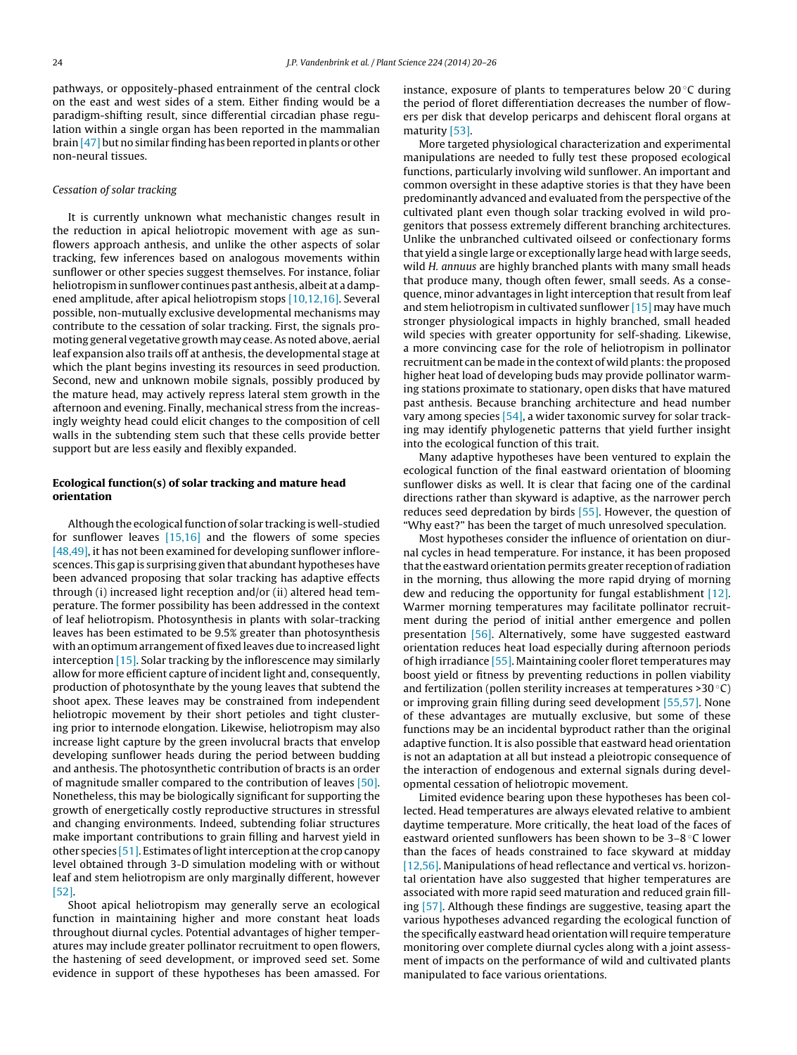pathways, or oppositely-phased entrainment of the central clock on the east and west sides of a stem. Either finding would be a paradigm-shifting result, since differential circadian phase regulation within a single organ has been reported in the mammalian brain  $[47]$  but no similar finding has been reported in plants or other non-neural tissues.

#### Cessation of solar tracking

It is currently unknown what mechanistic changes result in the reduction in apical heliotropic movement with age as sunflowers approach anthesis, and unlike the other aspects of solar tracking, few inferences based on analogous movements within sunflower or other species suggest themselves. For instance, foliar heliotropism in sunflower continues past anthesis, albeit at a dampened amplitude, after apical heliotropism stops [\[10,12,16\].](#page-5-0) Several possible, non-mutually exclusive developmental mechanisms may contribute to the cessation of solar tracking. First, the signals promoting general vegetative growth may cease.As noted above, aerial leaf expansion also trails off at anthesis, the developmental stage at which the plant begins investing its resources in seed production. Second, new and unknown mobile signals, possibly produced by the mature head, may actively repress lateral stem growth in the afternoon and evening. Finally, mechanical stress from the increasingly weighty head could elicit changes to the composition of cell walls in the subtending stem such that these cells provide better support but are less easily and flexibly expanded.

# **Ecological function(s) of solar tracking and mature head orientation**

Although the ecological function of solar tracking is well-studied for sunflower leaves [\[15,16\]](#page-5-0) and the flowers of some species [\[48,49\],](#page-6-0) it has not been examined for developing sunflower inflorescences. This gap is surprising given that abundant hypotheses have been advanced proposing that solar tracking has adaptive effects through (i) increased light reception and/or (ii) altered head temperature. The former possibility has been addressed in the context of leaf heliotropism. Photosynthesis in plants with solar-tracking leaves has been estimated to be 9.5% greater than photosynthesis with an optimum arrangement of fixed leaves due to increased light interception [\[15\].](#page-5-0) Solar tracking by the inflorescence may similarly allow for more efficient capture of incident light and, consequently, production of photosynthate by the young leaves that subtend the shoot apex. These leaves may be constrained from independent heliotropic movement by their short petioles and tight clustering prior to internode elongation. Likewise, heliotropism may also increase light capture by the green involucral bracts that envelop developing sunflower heads during the period between budding and anthesis. The photosynthetic contribution of bracts is an order of magnitude smaller compared to the contribution of leaves [\[50\].](#page-6-0) Nonetheless, this may be biologically significant for supporting the growth of energetically costly reproductive structures in stressful and changing environments. Indeed, subtending foliar structures make important contributions to grain filling and harvest yield in other species  $[51]$ . Estimates of light interception at the crop canopy level obtained through 3-D simulation modeling with or without leaf and stem heliotropism are only marginally different, however [\[52\].](#page-6-0)

Shoot apical heliotropism may generally serve an ecological function in maintaining higher and more constant heat loads throughout diurnal cycles. Potential advantages of higher temperatures may include greater pollinator recruitment to open flowers, the hastening of seed development, or improved seed set. Some evidence in support of these hypotheses has been amassed. For

instance, exposure of plants to temperatures below 20 ◦C during the period of floret differentiation decreases the number of flowers per disk that develop pericarps and dehiscent floral organs at maturity [\[53\].](#page-6-0)

More targeted physiological characterization and experimental manipulations are needed to fully test these proposed ecological functions, particularly involving wild sunflower. An important and common oversight in these adaptive stories is that they have been predominantly advanced and evaluated from the perspective of the cultivated plant even though solar tracking evolved in wild progenitors that possess extremely different branching architectures. Unlike the unbranched cultivated oilseed or confectionary forms that yield a single large or exceptionally large head with large seeds, wild H. annuus are highly branched plants with many small heads that produce many, though often fewer, small seeds. As a consequence, minor advantages in light interception that result from leaf and stem heliotropism in cultivated sunflower [\[15\]](#page-5-0) may have much stronger physiological impacts in highly branched, small headed wild species with greater opportunity for self-shading. Likewise, a more convincing case for the role of heliotropism in pollinator recruitment can be made in the context of wild plants: the proposed higher heat load of developing buds may provide pollinator warming stations proximate to stationary, open disks that have matured past anthesis. Because branching architecture and head number vary among species [\[54\],](#page-6-0) a wider taxonomic survey for solar tracking may identify phylogenetic patterns that yield further insight into the ecological function of this trait.

Many adaptive hypotheses have been ventured to explain the ecological function of the final eastward orientation of blooming sunflower disks as well. It is clear that facing one of the cardinal directions rather than skyward is adaptive, as the narrower perch reduces seed depredation by birds [\[55\].](#page-6-0) However, the question of "Why east?" has been the target of much unresolved speculation.

Most hypotheses consider the influence of orientation on diurnal cycles in head temperature. For instance, it has been proposed that the eastward orientation permits greater reception of radiation in the morning, thus allowing the more rapid drying of morning dew and reducing the opportunity for fungal establishment [\[12\].](#page-5-0) Warmer morning temperatures may facilitate pollinator recruitment during the period of initial anther emergence and pollen presentation [\[56\].](#page-6-0) Alternatively, some have suggested eastward orientation reduces heat load especially during afternoon periods of high irradiance  $[55]$ . Maintaining cooler floret temperatures may boost yield or fitness by preventing reductions in pollen viability and fertilization (pollen sterility increases at temperatures  $>30^{\circ}C$ ) or improving grain filling during seed development [\[55,57\].](#page-6-0) None of these advantages are mutually exclusive, but some of these functions may be an incidental byproduct rather than the original adaptive function. It is also possible that eastward head orientation is not an adaptation at all but instead a pleiotropic consequence of the interaction of endogenous and external signals during developmental cessation of heliotropic movement.

Limited evidence bearing upon these hypotheses has been collected. Head temperatures are always elevated relative to ambient daytime temperature. More critically, the heat load of the faces of eastward oriented sunflowers has been shown to be 3–8 ℃ lower than the faces of heads constrained to face skyward at midday [\[12,56\].](#page-5-0) Manipulations of head reflectance and vertical vs. horizontal orientation have also suggested that higher temperatures are associated with more rapid seed maturation and reduced grain filling [\[57\].](#page-6-0) Although these findings are suggestive, teasing apart the various hypotheses advanced regarding the ecological function of the specifically eastward head orientation will require temperature monitoring over complete diurnal cycles along with a joint assessment of impacts on the performance of wild and cultivated plants manipulated to face various orientations.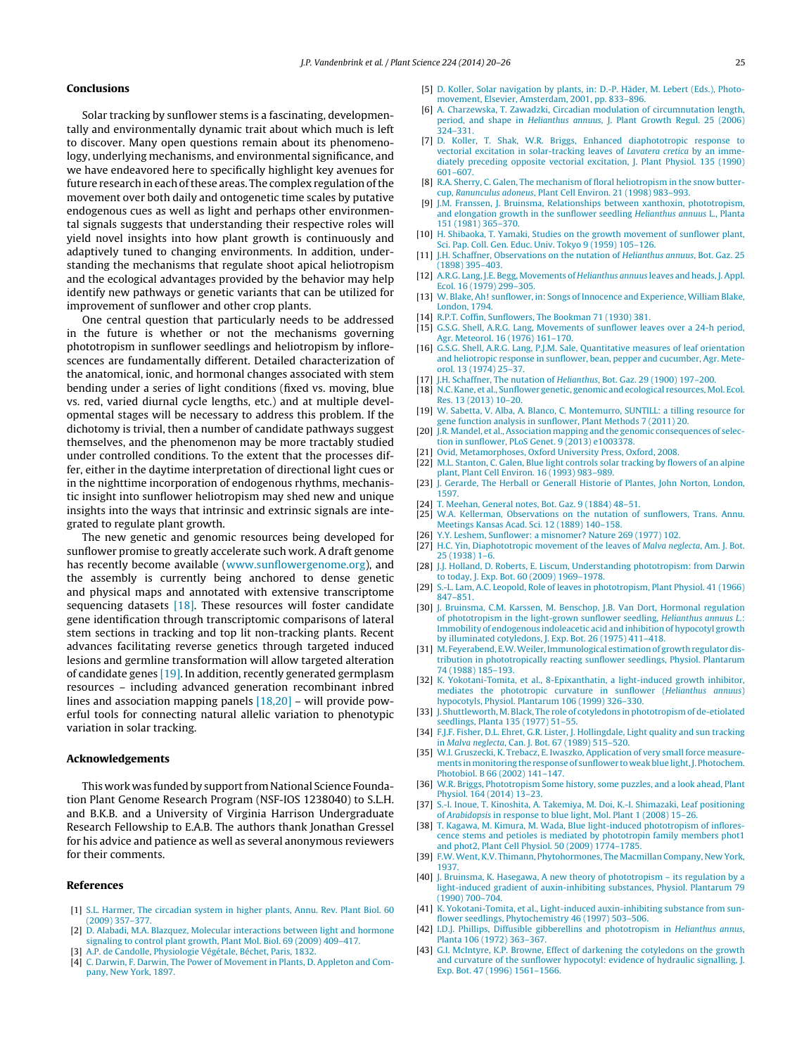#### <span id="page-5-0"></span>**Conclusions**

Solar tracking by sunflower stems is a fascinating, developmentally and environmentally dynamic trait about which much is left to discover. Many open questions remain about its phenomenology, underlying mechanisms, and environmental significance, and we have endeavored here to specifically highlight key avenues for future research in each of these areas. The complex regulation of the movement over both daily and ontogenetic time scales by putative endogenous cues as well as light and perhaps other environmental signals suggests that understanding their respective roles will yield novel insights into how plant growth is continuously and adaptively tuned to changing environments. In addition, understanding the mechanisms that regulate shoot apical heliotropism and the ecological advantages provided by the behavior may help identify new pathways or genetic variants that can be utilized for improvement of sunflower and other crop plants.

One central question that particularly needs to be addressed in the future is whether or not the mechanisms governing phototropism in sunflower seedlings and heliotropism by inflorescences are fundamentally different. Detailed characterization of the anatomical, ionic, and hormonal changes associated with stem bending under a series of light conditions (fixed vs. moving, blue vs. red, varied diurnal cycle lengths, etc.) and at multiple developmental stages will be necessary to address this problem. If the dichotomy is trivial, then a number of candidate pathways suggest themselves, and the phenomenon may be more tractably studied under controlled conditions. To the extent that the processes differ, either in the daytime interpretation of directional light cues or in the nighttime incorporation of endogenous rhythms, mechanistic insight into sunflower heliotropism may shed new and unique insights into the ways that intrinsic and extrinsic signals are integrated to regulate plant growth.

The new genetic and genomic resources being developed for sunflower promise to greatly accelerate such work. A draft genome has recently become available [\(www.sunflowergenome.org](http://www.sunflowergenome.org/)), and the assembly is currently being anchored to dense genetic and physical maps and annotated with extensive transcriptome sequencing datasets [18]. These resources will foster candidate gene identification through transcriptomic comparisons of lateral stem sections in tracking and top lit non-tracking plants. Recent advances facilitating reverse genetics through targeted induced lesions and germline transformation will allow targeted alteration of candidate genes [19]. In addition, recently generated germplasm resources – including advanced generation recombinant inbred lines and association mapping panels [18,20] – will provide powerful tools for connecting natural allelic variation to phenotypic variation in solar tracking.

#### **Acknowledgements**

This work was funded by support from National Science Foundation Plant Genome Research Program (NSF-IOS 1238040) to S.L.H. and B.K.B. and a University of Virginia Harrison Undergraduate Research Fellowship to E.A.B. The authors thank Jonathan Gressel for his advice and patience as well as several anonymous reviewers for their comments.

#### **References**

- [1] [S.L.](http://refhub.elsevier.com/S0168-9452(14)00081-8/sbref0005) [Harmer,](http://refhub.elsevier.com/S0168-9452(14)00081-8/sbref0005) [The](http://refhub.elsevier.com/S0168-9452(14)00081-8/sbref0005) [circadian](http://refhub.elsevier.com/S0168-9452(14)00081-8/sbref0005) [system](http://refhub.elsevier.com/S0168-9452(14)00081-8/sbref0005) [in](http://refhub.elsevier.com/S0168-9452(14)00081-8/sbref0005) [higher](http://refhub.elsevier.com/S0168-9452(14)00081-8/sbref0005) [plants,](http://refhub.elsevier.com/S0168-9452(14)00081-8/sbref0005) [Annu.](http://refhub.elsevier.com/S0168-9452(14)00081-8/sbref0005) [Rev.](http://refhub.elsevier.com/S0168-9452(14)00081-8/sbref0005) [Plant](http://refhub.elsevier.com/S0168-9452(14)00081-8/sbref0005) [Biol.](http://refhub.elsevier.com/S0168-9452(14)00081-8/sbref0005) [60](http://refhub.elsevier.com/S0168-9452(14)00081-8/sbref0005) [\(2009\)](http://refhub.elsevier.com/S0168-9452(14)00081-8/sbref0005) [357–377.](http://refhub.elsevier.com/S0168-9452(14)00081-8/sbref0005)
- [2] [D.](http://refhub.elsevier.com/S0168-9452(14)00081-8/sbref0010) [Alabadi,](http://refhub.elsevier.com/S0168-9452(14)00081-8/sbref0010) [M.A.](http://refhub.elsevier.com/S0168-9452(14)00081-8/sbref0010) [Blazquez,](http://refhub.elsevier.com/S0168-9452(14)00081-8/sbref0010) [Molecular](http://refhub.elsevier.com/S0168-9452(14)00081-8/sbref0010) [interactions](http://refhub.elsevier.com/S0168-9452(14)00081-8/sbref0010) [between](http://refhub.elsevier.com/S0168-9452(14)00081-8/sbref0010) [light](http://refhub.elsevier.com/S0168-9452(14)00081-8/sbref0010) [and](http://refhub.elsevier.com/S0168-9452(14)00081-8/sbref0010) [hormone](http://refhub.elsevier.com/S0168-9452(14)00081-8/sbref0010) [signaling](http://refhub.elsevier.com/S0168-9452(14)00081-8/sbref0010) [to](http://refhub.elsevier.com/S0168-9452(14)00081-8/sbref0010) [control](http://refhub.elsevier.com/S0168-9452(14)00081-8/sbref0010) [plant](http://refhub.elsevier.com/S0168-9452(14)00081-8/sbref0010) [growth,](http://refhub.elsevier.com/S0168-9452(14)00081-8/sbref0010) [Plant](http://refhub.elsevier.com/S0168-9452(14)00081-8/sbref0010) [Mol.](http://refhub.elsevier.com/S0168-9452(14)00081-8/sbref0010) [Biol.](http://refhub.elsevier.com/S0168-9452(14)00081-8/sbref0010) [69](http://refhub.elsevier.com/S0168-9452(14)00081-8/sbref0010) [\(2009\)](http://refhub.elsevier.com/S0168-9452(14)00081-8/sbref0010) [409–417.](http://refhub.elsevier.com/S0168-9452(14)00081-8/sbref0010)
- [3] [A.P.](http://refhub.elsevier.com/S0168-9452(14)00081-8/sbref0015) [de](http://refhub.elsevier.com/S0168-9452(14)00081-8/sbref0015) [Candolle,](http://refhub.elsevier.com/S0168-9452(14)00081-8/sbref0015) [Physiologie](http://refhub.elsevier.com/S0168-9452(14)00081-8/sbref0015) [Végétale,](http://refhub.elsevier.com/S0168-9452(14)00081-8/sbref0015) [Béchet,](http://refhub.elsevier.com/S0168-9452(14)00081-8/sbref0015) [Paris,](http://refhub.elsevier.com/S0168-9452(14)00081-8/sbref0015) [1832.](http://refhub.elsevier.com/S0168-9452(14)00081-8/sbref0015)
- [4] [C.](http://refhub.elsevier.com/S0168-9452(14)00081-8/sbref0020) [Darwin,](http://refhub.elsevier.com/S0168-9452(14)00081-8/sbref0020) [F.](http://refhub.elsevier.com/S0168-9452(14)00081-8/sbref0020) [Darwin,](http://refhub.elsevier.com/S0168-9452(14)00081-8/sbref0020) [The](http://refhub.elsevier.com/S0168-9452(14)00081-8/sbref0020) [Power](http://refhub.elsevier.com/S0168-9452(14)00081-8/sbref0020) [of](http://refhub.elsevier.com/S0168-9452(14)00081-8/sbref0020) [Movement](http://refhub.elsevier.com/S0168-9452(14)00081-8/sbref0020) [in](http://refhub.elsevier.com/S0168-9452(14)00081-8/sbref0020) [Plants,](http://refhub.elsevier.com/S0168-9452(14)00081-8/sbref0020) [D.](http://refhub.elsevier.com/S0168-9452(14)00081-8/sbref0020) [Appleton](http://refhub.elsevier.com/S0168-9452(14)00081-8/sbref0020) [and](http://refhub.elsevier.com/S0168-9452(14)00081-8/sbref0020) [Com](http://refhub.elsevier.com/S0168-9452(14)00081-8/sbref0020)[pany,](http://refhub.elsevier.com/S0168-9452(14)00081-8/sbref0020) [New](http://refhub.elsevier.com/S0168-9452(14)00081-8/sbref0020) [York,](http://refhub.elsevier.com/S0168-9452(14)00081-8/sbref0020) [1897.](http://refhub.elsevier.com/S0168-9452(14)00081-8/sbref0020)
- [5] [D.](http://refhub.elsevier.com/S0168-9452(14)00081-8/sbref0025) [Koller,](http://refhub.elsevier.com/S0168-9452(14)00081-8/sbref0025) [Solar](http://refhub.elsevier.com/S0168-9452(14)00081-8/sbref0025) [navigation](http://refhub.elsevier.com/S0168-9452(14)00081-8/sbref0025) [by](http://refhub.elsevier.com/S0168-9452(14)00081-8/sbref0025) [plants,](http://refhub.elsevier.com/S0168-9452(14)00081-8/sbref0025) [in:](http://refhub.elsevier.com/S0168-9452(14)00081-8/sbref0025) [D.-P.](http://refhub.elsevier.com/S0168-9452(14)00081-8/sbref0025) [Häder,](http://refhub.elsevier.com/S0168-9452(14)00081-8/sbref0025) [M.](http://refhub.elsevier.com/S0168-9452(14)00081-8/sbref0025) [Lebert](http://refhub.elsevier.com/S0168-9452(14)00081-8/sbref0025) [\(Eds.\),](http://refhub.elsevier.com/S0168-9452(14)00081-8/sbref0025) [Photo](http://refhub.elsevier.com/S0168-9452(14)00081-8/sbref0025)[movement,](http://refhub.elsevier.com/S0168-9452(14)00081-8/sbref0025) [Elsevier,](http://refhub.elsevier.com/S0168-9452(14)00081-8/sbref0025) [Amsterdam,](http://refhub.elsevier.com/S0168-9452(14)00081-8/sbref0025) [2001,](http://refhub.elsevier.com/S0168-9452(14)00081-8/sbref0025) [pp.](http://refhub.elsevier.com/S0168-9452(14)00081-8/sbref0025) [833](http://refhub.elsevier.com/S0168-9452(14)00081-8/sbref0025)–[896.](http://refhub.elsevier.com/S0168-9452(14)00081-8/sbref0025)
- [6] [A.](http://refhub.elsevier.com/S0168-9452(14)00081-8/sbref0030) [Charzewska,](http://refhub.elsevier.com/S0168-9452(14)00081-8/sbref0030) [T.](http://refhub.elsevier.com/S0168-9452(14)00081-8/sbref0030) [Zawadzki,](http://refhub.elsevier.com/S0168-9452(14)00081-8/sbref0030) [Circadian](http://refhub.elsevier.com/S0168-9452(14)00081-8/sbref0030) [modulation](http://refhub.elsevier.com/S0168-9452(14)00081-8/sbref0030) [of](http://refhub.elsevier.com/S0168-9452(14)00081-8/sbref0030) [circumnutation](http://refhub.elsevier.com/S0168-9452(14)00081-8/sbref0030) [length,](http://refhub.elsevier.com/S0168-9452(14)00081-8/sbref0030) [period,](http://refhub.elsevier.com/S0168-9452(14)00081-8/sbref0030) [and](http://refhub.elsevier.com/S0168-9452(14)00081-8/sbref0030) [shape](http://refhub.elsevier.com/S0168-9452(14)00081-8/sbref0030) [in](http://refhub.elsevier.com/S0168-9452(14)00081-8/sbref0030) [Helianthus](http://refhub.elsevier.com/S0168-9452(14)00081-8/sbref0030) [annuus](http://refhub.elsevier.com/S0168-9452(14)00081-8/sbref0030)[,](http://refhub.elsevier.com/S0168-9452(14)00081-8/sbref0030) [J.](http://refhub.elsevier.com/S0168-9452(14)00081-8/sbref0030) [Plant](http://refhub.elsevier.com/S0168-9452(14)00081-8/sbref0030) [Growth](http://refhub.elsevier.com/S0168-9452(14)00081-8/sbref0030) [Regul.](http://refhub.elsevier.com/S0168-9452(14)00081-8/sbref0030) [25](http://refhub.elsevier.com/S0168-9452(14)00081-8/sbref0030) [\(2006\)](http://refhub.elsevier.com/S0168-9452(14)00081-8/sbref0030) [324–331.](http://refhub.elsevier.com/S0168-9452(14)00081-8/sbref0030)
- [7] [D.](http://refhub.elsevier.com/S0168-9452(14)00081-8/sbref0035) [Koller,](http://refhub.elsevier.com/S0168-9452(14)00081-8/sbref0035) [T.](http://refhub.elsevier.com/S0168-9452(14)00081-8/sbref0035) [Shak,](http://refhub.elsevier.com/S0168-9452(14)00081-8/sbref0035) [W.R.](http://refhub.elsevier.com/S0168-9452(14)00081-8/sbref0035) [Briggs,](http://refhub.elsevier.com/S0168-9452(14)00081-8/sbref0035) [Enhanced](http://refhub.elsevier.com/S0168-9452(14)00081-8/sbref0035) [diaphototropic](http://refhub.elsevier.com/S0168-9452(14)00081-8/sbref0035) [response](http://refhub.elsevier.com/S0168-9452(14)00081-8/sbref0035) [to](http://refhub.elsevier.com/S0168-9452(14)00081-8/sbref0035) [vectorial](http://refhub.elsevier.com/S0168-9452(14)00081-8/sbref0035) [excitation](http://refhub.elsevier.com/S0168-9452(14)00081-8/sbref0035) [in](http://refhub.elsevier.com/S0168-9452(14)00081-8/sbref0035) [solar-tracking](http://refhub.elsevier.com/S0168-9452(14)00081-8/sbref0035) [leaves](http://refhub.elsevier.com/S0168-9452(14)00081-8/sbref0035) [of](http://refhub.elsevier.com/S0168-9452(14)00081-8/sbref0035) [Lavatera](http://refhub.elsevier.com/S0168-9452(14)00081-8/sbref0035) [cretica](http://refhub.elsevier.com/S0168-9452(14)00081-8/sbref0035) [by](http://refhub.elsevier.com/S0168-9452(14)00081-8/sbref0035) [an](http://refhub.elsevier.com/S0168-9452(14)00081-8/sbref0035) [imme](http://refhub.elsevier.com/S0168-9452(14)00081-8/sbref0035)[diately](http://refhub.elsevier.com/S0168-9452(14)00081-8/sbref0035) [preceding](http://refhub.elsevier.com/S0168-9452(14)00081-8/sbref0035) [opposite](http://refhub.elsevier.com/S0168-9452(14)00081-8/sbref0035) [vectorial](http://refhub.elsevier.com/S0168-9452(14)00081-8/sbref0035) [excitation,](http://refhub.elsevier.com/S0168-9452(14)00081-8/sbref0035) [J.](http://refhub.elsevier.com/S0168-9452(14)00081-8/sbref0035) [Plant](http://refhub.elsevier.com/S0168-9452(14)00081-8/sbref0035) [Physiol.](http://refhub.elsevier.com/S0168-9452(14)00081-8/sbref0035) [135](http://refhub.elsevier.com/S0168-9452(14)00081-8/sbref0035) [\(1990\)](http://refhub.elsevier.com/S0168-9452(14)00081-8/sbref0035) [601](http://refhub.elsevier.com/S0168-9452(14)00081-8/sbref0035)–[607.](http://refhub.elsevier.com/S0168-9452(14)00081-8/sbref0035)
- [8] [R.A.](http://refhub.elsevier.com/S0168-9452(14)00081-8/sbref0040) [Sherry,](http://refhub.elsevier.com/S0168-9452(14)00081-8/sbref0040) [C.](http://refhub.elsevier.com/S0168-9452(14)00081-8/sbref0040) [Galen,](http://refhub.elsevier.com/S0168-9452(14)00081-8/sbref0040) [The](http://refhub.elsevier.com/S0168-9452(14)00081-8/sbref0040) [mechanism](http://refhub.elsevier.com/S0168-9452(14)00081-8/sbref0040) [of](http://refhub.elsevier.com/S0168-9452(14)00081-8/sbref0040) [floral](http://refhub.elsevier.com/S0168-9452(14)00081-8/sbref0040) [heliotropism](http://refhub.elsevier.com/S0168-9452(14)00081-8/sbref0040) [in](http://refhub.elsevier.com/S0168-9452(14)00081-8/sbref0040) [the](http://refhub.elsevier.com/S0168-9452(14)00081-8/sbref0040) [snow](http://refhub.elsevier.com/S0168-9452(14)00081-8/sbref0040) [butter](http://refhub.elsevier.com/S0168-9452(14)00081-8/sbref0040)[cup,](http://refhub.elsevier.com/S0168-9452(14)00081-8/sbref0040) [Ranunculus](http://refhub.elsevier.com/S0168-9452(14)00081-8/sbref0040) [adoneus](http://refhub.elsevier.com/S0168-9452(14)00081-8/sbref0040)[,](http://refhub.elsevier.com/S0168-9452(14)00081-8/sbref0040) [Plant](http://refhub.elsevier.com/S0168-9452(14)00081-8/sbref0040) [Cell](http://refhub.elsevier.com/S0168-9452(14)00081-8/sbref0040) [Environ.](http://refhub.elsevier.com/S0168-9452(14)00081-8/sbref0040) [21](http://refhub.elsevier.com/S0168-9452(14)00081-8/sbref0040) [\(1998\)](http://refhub.elsevier.com/S0168-9452(14)00081-8/sbref0040) [983–993.](http://refhub.elsevier.com/S0168-9452(14)00081-8/sbref0040)
- [9] [J.M.](http://refhub.elsevier.com/S0168-9452(14)00081-8/sbref0045) [Franssen,](http://refhub.elsevier.com/S0168-9452(14)00081-8/sbref0045) [J.](http://refhub.elsevier.com/S0168-9452(14)00081-8/sbref0045) [Bruinsma,](http://refhub.elsevier.com/S0168-9452(14)00081-8/sbref0045) [Relationships](http://refhub.elsevier.com/S0168-9452(14)00081-8/sbref0045) [between](http://refhub.elsevier.com/S0168-9452(14)00081-8/sbref0045) [xanthoxin,](http://refhub.elsevier.com/S0168-9452(14)00081-8/sbref0045) [phototropism,](http://refhub.elsevier.com/S0168-9452(14)00081-8/sbref0045) [and](http://refhub.elsevier.com/S0168-9452(14)00081-8/sbref0045) [elongation](http://refhub.elsevier.com/S0168-9452(14)00081-8/sbref0045) [growth](http://refhub.elsevier.com/S0168-9452(14)00081-8/sbref0045) [in](http://refhub.elsevier.com/S0168-9452(14)00081-8/sbref0045) [the](http://refhub.elsevier.com/S0168-9452(14)00081-8/sbref0045) [sunflower](http://refhub.elsevier.com/S0168-9452(14)00081-8/sbref0045) [seedling](http://refhub.elsevier.com/S0168-9452(14)00081-8/sbref0045) [Helianthus](http://refhub.elsevier.com/S0168-9452(14)00081-8/sbref0045) [annuus](http://refhub.elsevier.com/S0168-9452(14)00081-8/sbref0045) [L.,](http://refhub.elsevier.com/S0168-9452(14)00081-8/sbref0045) [Planta](http://refhub.elsevier.com/S0168-9452(14)00081-8/sbref0045) [151](http://refhub.elsevier.com/S0168-9452(14)00081-8/sbref0045) [\(1981\)](http://refhub.elsevier.com/S0168-9452(14)00081-8/sbref0045) [365–370.](http://refhub.elsevier.com/S0168-9452(14)00081-8/sbref0045)
- [10] [H.](http://refhub.elsevier.com/S0168-9452(14)00081-8/sbref0050) [Shibaoka,](http://refhub.elsevier.com/S0168-9452(14)00081-8/sbref0050) [T.](http://refhub.elsevier.com/S0168-9452(14)00081-8/sbref0050) [Yamaki,](http://refhub.elsevier.com/S0168-9452(14)00081-8/sbref0050) [Studies](http://refhub.elsevier.com/S0168-9452(14)00081-8/sbref0050) [on](http://refhub.elsevier.com/S0168-9452(14)00081-8/sbref0050) [the](http://refhub.elsevier.com/S0168-9452(14)00081-8/sbref0050) [growth](http://refhub.elsevier.com/S0168-9452(14)00081-8/sbref0050) [movement](http://refhub.elsevier.com/S0168-9452(14)00081-8/sbref0050) [of](http://refhub.elsevier.com/S0168-9452(14)00081-8/sbref0050) [sunflower](http://refhub.elsevier.com/S0168-9452(14)00081-8/sbref0050) [plant,](http://refhub.elsevier.com/S0168-9452(14)00081-8/sbref0050) [Sci.](http://refhub.elsevier.com/S0168-9452(14)00081-8/sbref0050) [Pap.](http://refhub.elsevier.com/S0168-9452(14)00081-8/sbref0050) [Coll.](http://refhub.elsevier.com/S0168-9452(14)00081-8/sbref0050) [Gen.](http://refhub.elsevier.com/S0168-9452(14)00081-8/sbref0050) [Educ.](http://refhub.elsevier.com/S0168-9452(14)00081-8/sbref0050) [Univ.](http://refhub.elsevier.com/S0168-9452(14)00081-8/sbref0050) [Tokyo](http://refhub.elsevier.com/S0168-9452(14)00081-8/sbref0050) [9](http://refhub.elsevier.com/S0168-9452(14)00081-8/sbref0050) [\(1959\)](http://refhub.elsevier.com/S0168-9452(14)00081-8/sbref0050) [105–126.](http://refhub.elsevier.com/S0168-9452(14)00081-8/sbref0050)
- [11] [J.H.](http://refhub.elsevier.com/S0168-9452(14)00081-8/sbref0055) [Schaffner,](http://refhub.elsevier.com/S0168-9452(14)00081-8/sbref0055) [Observations](http://refhub.elsevier.com/S0168-9452(14)00081-8/sbref0055) [on](http://refhub.elsevier.com/S0168-9452(14)00081-8/sbref0055) [the](http://refhub.elsevier.com/S0168-9452(14)00081-8/sbref0055) [nutation](http://refhub.elsevier.com/S0168-9452(14)00081-8/sbref0055) [of](http://refhub.elsevier.com/S0168-9452(14)00081-8/sbref0055) [Helianthus](http://refhub.elsevier.com/S0168-9452(14)00081-8/sbref0055) [annuus](http://refhub.elsevier.com/S0168-9452(14)00081-8/sbref0055)[,](http://refhub.elsevier.com/S0168-9452(14)00081-8/sbref0055) [Bot.](http://refhub.elsevier.com/S0168-9452(14)00081-8/sbref0055) [Gaz.](http://refhub.elsevier.com/S0168-9452(14)00081-8/sbref0055) [25](http://refhub.elsevier.com/S0168-9452(14)00081-8/sbref0055) [\(1898\)](http://refhub.elsevier.com/S0168-9452(14)00081-8/sbref0055) [395–403.](http://refhub.elsevier.com/S0168-9452(14)00081-8/sbref0055)
- [12] [A.R.G.](http://refhub.elsevier.com/S0168-9452(14)00081-8/sbref0060) [Lang,](http://refhub.elsevier.com/S0168-9452(14)00081-8/sbref0060) [J.E.](http://refhub.elsevier.com/S0168-9452(14)00081-8/sbref0060) [Begg,](http://refhub.elsevier.com/S0168-9452(14)00081-8/sbref0060) [Movements](http://refhub.elsevier.com/S0168-9452(14)00081-8/sbref0060) [of](http://refhub.elsevier.com/S0168-9452(14)00081-8/sbref0060) [Helianthus](http://refhub.elsevier.com/S0168-9452(14)00081-8/sbref0060) [annuus](http://refhub.elsevier.com/S0168-9452(14)00081-8/sbref0060) [leaves](http://refhub.elsevier.com/S0168-9452(14)00081-8/sbref0060) [and](http://refhub.elsevier.com/S0168-9452(14)00081-8/sbref0060) [heads,](http://refhub.elsevier.com/S0168-9452(14)00081-8/sbref0060) [J.Appl.](http://refhub.elsevier.com/S0168-9452(14)00081-8/sbref0060) [Ecol.](http://refhub.elsevier.com/S0168-9452(14)00081-8/sbref0060) [16](http://refhub.elsevier.com/S0168-9452(14)00081-8/sbref0060) [\(1979\)](http://refhub.elsevier.com/S0168-9452(14)00081-8/sbref0060) [299–305.](http://refhub.elsevier.com/S0168-9452(14)00081-8/sbref0060)
- [13] [W.](http://refhub.elsevier.com/S0168-9452(14)00081-8/sbref0065) [Blake,](http://refhub.elsevier.com/S0168-9452(14)00081-8/sbref0065) [Ah!](http://refhub.elsevier.com/S0168-9452(14)00081-8/sbref0065) [sunflower,](http://refhub.elsevier.com/S0168-9452(14)00081-8/sbref0065) [in:](http://refhub.elsevier.com/S0168-9452(14)00081-8/sbref0065) [Songs](http://refhub.elsevier.com/S0168-9452(14)00081-8/sbref0065) [of](http://refhub.elsevier.com/S0168-9452(14)00081-8/sbref0065) [Innocence](http://refhub.elsevier.com/S0168-9452(14)00081-8/sbref0065) [and](http://refhub.elsevier.com/S0168-9452(14)00081-8/sbref0065) [Experience,](http://refhub.elsevier.com/S0168-9452(14)00081-8/sbref0065) [William](http://refhub.elsevier.com/S0168-9452(14)00081-8/sbref0065) Blake, [London,](http://refhub.elsevier.com/S0168-9452(14)00081-8/sbref0065) [1794.](http://refhub.elsevier.com/S0168-9452(14)00081-8/sbref0065)
- [14] [R.P.T.](http://refhub.elsevier.com/S0168-9452(14)00081-8/sbref0070) [Coffin,](http://refhub.elsevier.com/S0168-9452(14)00081-8/sbref0070) [Sunflowers,](http://refhub.elsevier.com/S0168-9452(14)00081-8/sbref0070) [The](http://refhub.elsevier.com/S0168-9452(14)00081-8/sbref0070) [Bookman](http://refhub.elsevier.com/S0168-9452(14)00081-8/sbref0070) [71](http://refhub.elsevier.com/S0168-9452(14)00081-8/sbref0070) [\(1930\)](http://refhub.elsevier.com/S0168-9452(14)00081-8/sbref0070) [381.](http://refhub.elsevier.com/S0168-9452(14)00081-8/sbref0070)
- [15] [G.S.G.](http://refhub.elsevier.com/S0168-9452(14)00081-8/sbref0075) [Shell,](http://refhub.elsevier.com/S0168-9452(14)00081-8/sbref0075) [A.R.G.](http://refhub.elsevier.com/S0168-9452(14)00081-8/sbref0075) [Lang,](http://refhub.elsevier.com/S0168-9452(14)00081-8/sbref0075) [Movements](http://refhub.elsevier.com/S0168-9452(14)00081-8/sbref0075) [of](http://refhub.elsevier.com/S0168-9452(14)00081-8/sbref0075) [sunflower](http://refhub.elsevier.com/S0168-9452(14)00081-8/sbref0075) [leaves](http://refhub.elsevier.com/S0168-9452(14)00081-8/sbref0075) [over](http://refhub.elsevier.com/S0168-9452(14)00081-8/sbref0075) [a](http://refhub.elsevier.com/S0168-9452(14)00081-8/sbref0075) [24-h](http://refhub.elsevier.com/S0168-9452(14)00081-8/sbref0075) [period,](http://refhub.elsevier.com/S0168-9452(14)00081-8/sbref0075) [Agr.](http://refhub.elsevier.com/S0168-9452(14)00081-8/sbref0075) [Meteorol.](http://refhub.elsevier.com/S0168-9452(14)00081-8/sbref0075) [16](http://refhub.elsevier.com/S0168-9452(14)00081-8/sbref0075) [\(1976\)](http://refhub.elsevier.com/S0168-9452(14)00081-8/sbref0075) [161](http://refhub.elsevier.com/S0168-9452(14)00081-8/sbref0075)–[170.](http://refhub.elsevier.com/S0168-9452(14)00081-8/sbref0075)
- [16] [G.S.G.](http://refhub.elsevier.com/S0168-9452(14)00081-8/sbref0080) [Shell,](http://refhub.elsevier.com/S0168-9452(14)00081-8/sbref0080) [A.R.G.](http://refhub.elsevier.com/S0168-9452(14)00081-8/sbref0080) [Lang,](http://refhub.elsevier.com/S0168-9452(14)00081-8/sbref0080) [P.J.M.](http://refhub.elsevier.com/S0168-9452(14)00081-8/sbref0080) [Sale,](http://refhub.elsevier.com/S0168-9452(14)00081-8/sbref0080) [Quantitative](http://refhub.elsevier.com/S0168-9452(14)00081-8/sbref0080) [measures](http://refhub.elsevier.com/S0168-9452(14)00081-8/sbref0080) [of](http://refhub.elsevier.com/S0168-9452(14)00081-8/sbref0080) [leaf](http://refhub.elsevier.com/S0168-9452(14)00081-8/sbref0080) [orientation](http://refhub.elsevier.com/S0168-9452(14)00081-8/sbref0080) [and](http://refhub.elsevier.com/S0168-9452(14)00081-8/sbref0080) [heliotropic](http://refhub.elsevier.com/S0168-9452(14)00081-8/sbref0080) [response](http://refhub.elsevier.com/S0168-9452(14)00081-8/sbref0080) [in](http://refhub.elsevier.com/S0168-9452(14)00081-8/sbref0080) [sunflower,](http://refhub.elsevier.com/S0168-9452(14)00081-8/sbref0080) [bean,](http://refhub.elsevier.com/S0168-9452(14)00081-8/sbref0080) [pepper](http://refhub.elsevier.com/S0168-9452(14)00081-8/sbref0080) [and](http://refhub.elsevier.com/S0168-9452(14)00081-8/sbref0080) [cucumber,](http://refhub.elsevier.com/S0168-9452(14)00081-8/sbref0080) [Agr.](http://refhub.elsevier.com/S0168-9452(14)00081-8/sbref0080) [Mete](http://refhub.elsevier.com/S0168-9452(14)00081-8/sbref0080)[orol.](http://refhub.elsevier.com/S0168-9452(14)00081-8/sbref0080) [13](http://refhub.elsevier.com/S0168-9452(14)00081-8/sbref0080) [\(1974\)](http://refhub.elsevier.com/S0168-9452(14)00081-8/sbref0080) [25](http://refhub.elsevier.com/S0168-9452(14)00081-8/sbref0080)–[37.](http://refhub.elsevier.com/S0168-9452(14)00081-8/sbref0080)
- [17] [J.H.](http://refhub.elsevier.com/S0168-9452(14)00081-8/sbref0085) [Schaffner,](http://refhub.elsevier.com/S0168-9452(14)00081-8/sbref0085) [The](http://refhub.elsevier.com/S0168-9452(14)00081-8/sbref0085) [nutation](http://refhub.elsevier.com/S0168-9452(14)00081-8/sbref0085) [of](http://refhub.elsevier.com/S0168-9452(14)00081-8/sbref0085) [Helianthus](http://refhub.elsevier.com/S0168-9452(14)00081-8/sbref0085)[,](http://refhub.elsevier.com/S0168-9452(14)00081-8/sbref0085) [Bot.](http://refhub.elsevier.com/S0168-9452(14)00081-8/sbref0085) [Gaz.](http://refhub.elsevier.com/S0168-9452(14)00081-8/sbref0085) [29](http://refhub.elsevier.com/S0168-9452(14)00081-8/sbref0085) [\(1900\)](http://refhub.elsevier.com/S0168-9452(14)00081-8/sbref0085) 197-200.
- [18] [N.C.Kane,](http://refhub.elsevier.com/S0168-9452(14)00081-8/sbref0090) [et](http://refhub.elsevier.com/S0168-9452(14)00081-8/sbref0090) [al.,](http://refhub.elsevier.com/S0168-9452(14)00081-8/sbref0090) [Sunflower](http://refhub.elsevier.com/S0168-9452(14)00081-8/sbref0090) [genetic,](http://refhub.elsevier.com/S0168-9452(14)00081-8/sbref0090) [genomic](http://refhub.elsevier.com/S0168-9452(14)00081-8/sbref0090) [and](http://refhub.elsevier.com/S0168-9452(14)00081-8/sbref0090) [ecological](http://refhub.elsevier.com/S0168-9452(14)00081-8/sbref0090) [resources,](http://refhub.elsevier.com/S0168-9452(14)00081-8/sbref0090) [Mol.](http://refhub.elsevier.com/S0168-9452(14)00081-8/sbref0090) [Ecol.](http://refhub.elsevier.com/S0168-9452(14)00081-8/sbref0090) [Res.](http://refhub.elsevier.com/S0168-9452(14)00081-8/sbref0090) [13](http://refhub.elsevier.com/S0168-9452(14)00081-8/sbref0090) [\(2013\)](http://refhub.elsevier.com/S0168-9452(14)00081-8/sbref0090) [10–20.](http://refhub.elsevier.com/S0168-9452(14)00081-8/sbref0090)
- [19] [W.](http://refhub.elsevier.com/S0168-9452(14)00081-8/sbref0095) [Sabetta,](http://refhub.elsevier.com/S0168-9452(14)00081-8/sbref0095) [V.](http://refhub.elsevier.com/S0168-9452(14)00081-8/sbref0095) [Alba,](http://refhub.elsevier.com/S0168-9452(14)00081-8/sbref0095) [A.](http://refhub.elsevier.com/S0168-9452(14)00081-8/sbref0095) [Blanco,](http://refhub.elsevier.com/S0168-9452(14)00081-8/sbref0095) [C.](http://refhub.elsevier.com/S0168-9452(14)00081-8/sbref0095) [Montemurro,](http://refhub.elsevier.com/S0168-9452(14)00081-8/sbref0095) [SUNTILL:](http://refhub.elsevier.com/S0168-9452(14)00081-8/sbref0095) [a](http://refhub.elsevier.com/S0168-9452(14)00081-8/sbref0095) [tilling](http://refhub.elsevier.com/S0168-9452(14)00081-8/sbref0095) [resource](http://refhub.elsevier.com/S0168-9452(14)00081-8/sbref0095) [for](http://refhub.elsevier.com/S0168-9452(14)00081-8/sbref0095) [gene](http://refhub.elsevier.com/S0168-9452(14)00081-8/sbref0095) [function](http://refhub.elsevier.com/S0168-9452(14)00081-8/sbref0095) [analysis](http://refhub.elsevier.com/S0168-9452(14)00081-8/sbref0095) [in](http://refhub.elsevier.com/S0168-9452(14)00081-8/sbref0095) [sunflower,](http://refhub.elsevier.com/S0168-9452(14)00081-8/sbref0095) [Plant](http://refhub.elsevier.com/S0168-9452(14)00081-8/sbref0095) [Methods](http://refhub.elsevier.com/S0168-9452(14)00081-8/sbref0095) [7](http://refhub.elsevier.com/S0168-9452(14)00081-8/sbref0095) [\(2011\)](http://refhub.elsevier.com/S0168-9452(14)00081-8/sbref0095) [20.](http://refhub.elsevier.com/S0168-9452(14)00081-8/sbref0095)
- [20] [J.R.](http://refhub.elsevier.com/S0168-9452(14)00081-8/sbref0100) [Mandel,](http://refhub.elsevier.com/S0168-9452(14)00081-8/sbref0100) [et](http://refhub.elsevier.com/S0168-9452(14)00081-8/sbref0100) [al.,](http://refhub.elsevier.com/S0168-9452(14)00081-8/sbref0100) [Association](http://refhub.elsevier.com/S0168-9452(14)00081-8/sbref0100) [mapping](http://refhub.elsevier.com/S0168-9452(14)00081-8/sbref0100) [and](http://refhub.elsevier.com/S0168-9452(14)00081-8/sbref0100) [the](http://refhub.elsevier.com/S0168-9452(14)00081-8/sbref0100) [genomic](http://refhub.elsevier.com/S0168-9452(14)00081-8/sbref0100) [consequences](http://refhub.elsevier.com/S0168-9452(14)00081-8/sbref0100) [of](http://refhub.elsevier.com/S0168-9452(14)00081-8/sbref0100) [selec](http://refhub.elsevier.com/S0168-9452(14)00081-8/sbref0100)[tion](http://refhub.elsevier.com/S0168-9452(14)00081-8/sbref0100) [in](http://refhub.elsevier.com/S0168-9452(14)00081-8/sbref0100) [sunflower,](http://refhub.elsevier.com/S0168-9452(14)00081-8/sbref0100) [PLoS](http://refhub.elsevier.com/S0168-9452(14)00081-8/sbref0100) [Genet.](http://refhub.elsevier.com/S0168-9452(14)00081-8/sbref0100)  $9(2013)$  $9(2013)$  [e1003378.](http://refhub.elsevier.com/S0168-9452(14)00081-8/sbref0100)
- [21] [Ovid,](http://refhub.elsevier.com/S0168-9452(14)00081-8/sbref0105) [Metamorphoses,](http://refhub.elsevier.com/S0168-9452(14)00081-8/sbref0105) [Oxford](http://refhub.elsevier.com/S0168-9452(14)00081-8/sbref0105) [University](http://refhub.elsevier.com/S0168-9452(14)00081-8/sbref0105) [Press,](http://refhub.elsevier.com/S0168-9452(14)00081-8/sbref0105) [Oxford,](http://refhub.elsevier.com/S0168-9452(14)00081-8/sbref0105) [2008.](http://refhub.elsevier.com/S0168-9452(14)00081-8/sbref0105)
- [22] [M.L.](http://refhub.elsevier.com/S0168-9452(14)00081-8/sbref0110) [Stanton,](http://refhub.elsevier.com/S0168-9452(14)00081-8/sbref0110) [C.](http://refhub.elsevier.com/S0168-9452(14)00081-8/sbref0110) [Galen,](http://refhub.elsevier.com/S0168-9452(14)00081-8/sbref0110) [Blue](http://refhub.elsevier.com/S0168-9452(14)00081-8/sbref0110) [light](http://refhub.elsevier.com/S0168-9452(14)00081-8/sbref0110) [controls](http://refhub.elsevier.com/S0168-9452(14)00081-8/sbref0110) [solar](http://refhub.elsevier.com/S0168-9452(14)00081-8/sbref0110) [tracking](http://refhub.elsevier.com/S0168-9452(14)00081-8/sbref0110) [by](http://refhub.elsevier.com/S0168-9452(14)00081-8/sbref0110) [flowers](http://refhub.elsevier.com/S0168-9452(14)00081-8/sbref0110) [of](http://refhub.elsevier.com/S0168-9452(14)00081-8/sbref0110) [an](http://refhub.elsevier.com/S0168-9452(14)00081-8/sbref0110) [alpine](http://refhub.elsevier.com/S0168-9452(14)00081-8/sbref0110) [plant,](http://refhub.elsevier.com/S0168-9452(14)00081-8/sbref0110) [Plant](http://refhub.elsevier.com/S0168-9452(14)00081-8/sbref0110) [Cell](http://refhub.elsevier.com/S0168-9452(14)00081-8/sbref0110) [Environ.](http://refhub.elsevier.com/S0168-9452(14)00081-8/sbref0110) [16](http://refhub.elsevier.com/S0168-9452(14)00081-8/sbref0110) [\(1993\)](http://refhub.elsevier.com/S0168-9452(14)00081-8/sbref0110) [983](http://refhub.elsevier.com/S0168-9452(14)00081-8/sbref0110)–[989.](http://refhub.elsevier.com/S0168-9452(14)00081-8/sbref0110)
- [23] [J.](http://refhub.elsevier.com/S0168-9452(14)00081-8/sbref0115) [Gerarde,](http://refhub.elsevier.com/S0168-9452(14)00081-8/sbref0115) [The](http://refhub.elsevier.com/S0168-9452(14)00081-8/sbref0115) [Herball](http://refhub.elsevier.com/S0168-9452(14)00081-8/sbref0115) [or](http://refhub.elsevier.com/S0168-9452(14)00081-8/sbref0115) [Generall](http://refhub.elsevier.com/S0168-9452(14)00081-8/sbref0115) [Historie](http://refhub.elsevier.com/S0168-9452(14)00081-8/sbref0115) [of](http://refhub.elsevier.com/S0168-9452(14)00081-8/sbref0115) [Plantes,](http://refhub.elsevier.com/S0168-9452(14)00081-8/sbref0115) [John](http://refhub.elsevier.com/S0168-9452(14)00081-8/sbref0115) [Norton,](http://refhub.elsevier.com/S0168-9452(14)00081-8/sbref0115) [London,](http://refhub.elsevier.com/S0168-9452(14)00081-8/sbref0115) [1597.](http://refhub.elsevier.com/S0168-9452(14)00081-8/sbref0115)
- [24] [T.](http://refhub.elsevier.com/S0168-9452(14)00081-8/sbref0120) [Meehan,](http://refhub.elsevier.com/S0168-9452(14)00081-8/sbref0120) [General](http://refhub.elsevier.com/S0168-9452(14)00081-8/sbref0120) [notes,](http://refhub.elsevier.com/S0168-9452(14)00081-8/sbref0120) [Bot.](http://refhub.elsevier.com/S0168-9452(14)00081-8/sbref0120) [Gaz.](http://refhub.elsevier.com/S0168-9452(14)00081-8/sbref0120) [9](http://refhub.elsevier.com/S0168-9452(14)00081-8/sbref0120) [\(1884\)](http://refhub.elsevier.com/S0168-9452(14)00081-8/sbref0120) [48](http://refhub.elsevier.com/S0168-9452(14)00081-8/sbref0120)–[51.](http://refhub.elsevier.com/S0168-9452(14)00081-8/sbref0120)
- [25] [W.A.](http://refhub.elsevier.com/S0168-9452(14)00081-8/sbref0125) [Kellerman,](http://refhub.elsevier.com/S0168-9452(14)00081-8/sbref0125) [Observations](http://refhub.elsevier.com/S0168-9452(14)00081-8/sbref0125) [on](http://refhub.elsevier.com/S0168-9452(14)00081-8/sbref0125) [the](http://refhub.elsevier.com/S0168-9452(14)00081-8/sbref0125) [nutation](http://refhub.elsevier.com/S0168-9452(14)00081-8/sbref0125) [of](http://refhub.elsevier.com/S0168-9452(14)00081-8/sbref0125) [sunflowers,](http://refhub.elsevier.com/S0168-9452(14)00081-8/sbref0125) [Trans.](http://refhub.elsevier.com/S0168-9452(14)00081-8/sbref0125) [Annu.](http://refhub.elsevier.com/S0168-9452(14)00081-8/sbref0125) [Meetings](http://refhub.elsevier.com/S0168-9452(14)00081-8/sbref0125) [Kansas](http://refhub.elsevier.com/S0168-9452(14)00081-8/sbref0125) [Acad.](http://refhub.elsevier.com/S0168-9452(14)00081-8/sbref0125) [Sci.](http://refhub.elsevier.com/S0168-9452(14)00081-8/sbref0125) [12](http://refhub.elsevier.com/S0168-9452(14)00081-8/sbref0125) [\(1889\)](http://refhub.elsevier.com/S0168-9452(14)00081-8/sbref0125) [140–158.](http://refhub.elsevier.com/S0168-9452(14)00081-8/sbref0125)
- [26] [Y.Y.](http://refhub.elsevier.com/S0168-9452(14)00081-8/sbref0130) [Leshem,](http://refhub.elsevier.com/S0168-9452(14)00081-8/sbref0130) [Sunflower:](http://refhub.elsevier.com/S0168-9452(14)00081-8/sbref0130) [a](http://refhub.elsevier.com/S0168-9452(14)00081-8/sbref0130) [misnomer?](http://refhub.elsevier.com/S0168-9452(14)00081-8/sbref0130) [Nature](http://refhub.elsevier.com/S0168-9452(14)00081-8/sbref0130) [269](http://refhub.elsevier.com/S0168-9452(14)00081-8/sbref0130) [\(1977\)](http://refhub.elsevier.com/S0168-9452(14)00081-8/sbref0130) [102.](http://refhub.elsevier.com/S0168-9452(14)00081-8/sbref0130)
- [27] [H.C.](http://refhub.elsevier.com/S0168-9452(14)00081-8/sbref0135) [Yin,](http://refhub.elsevier.com/S0168-9452(14)00081-8/sbref0135) [Diaphototropic](http://refhub.elsevier.com/S0168-9452(14)00081-8/sbref0135) [movement](http://refhub.elsevier.com/S0168-9452(14)00081-8/sbref0135) [of](http://refhub.elsevier.com/S0168-9452(14)00081-8/sbref0135) [the](http://refhub.elsevier.com/S0168-9452(14)00081-8/sbref0135) [leaves](http://refhub.elsevier.com/S0168-9452(14)00081-8/sbref0135) [of](http://refhub.elsevier.com/S0168-9452(14)00081-8/sbref0135) [Malva](http://refhub.elsevier.com/S0168-9452(14)00081-8/sbref0135) [neglecta](http://refhub.elsevier.com/S0168-9452(14)00081-8/sbref0135)[,](http://refhub.elsevier.com/S0168-9452(14)00081-8/sbref0135) [Am.](http://refhub.elsevier.com/S0168-9452(14)00081-8/sbref0135) [J.](http://refhub.elsevier.com/S0168-9452(14)00081-8/sbref0135) [Bot.](http://refhub.elsevier.com/S0168-9452(14)00081-8/sbref0135) [25](http://refhub.elsevier.com/S0168-9452(14)00081-8/sbref0135) [\(1938\)](http://refhub.elsevier.com/S0168-9452(14)00081-8/sbref0135) [1–6.](http://refhub.elsevier.com/S0168-9452(14)00081-8/sbref0135)
- [28] [J.J.](http://refhub.elsevier.com/S0168-9452(14)00081-8/sbref0140) [Holland,](http://refhub.elsevier.com/S0168-9452(14)00081-8/sbref0140) [D.](http://refhub.elsevier.com/S0168-9452(14)00081-8/sbref0140) [Roberts,](http://refhub.elsevier.com/S0168-9452(14)00081-8/sbref0140) [E.](http://refhub.elsevier.com/S0168-9452(14)00081-8/sbref0140) [Liscum,](http://refhub.elsevier.com/S0168-9452(14)00081-8/sbref0140) [Understanding](http://refhub.elsevier.com/S0168-9452(14)00081-8/sbref0140) [phototropism:](http://refhub.elsevier.com/S0168-9452(14)00081-8/sbref0140) [from](http://refhub.elsevier.com/S0168-9452(14)00081-8/sbref0140) [Darwin](http://refhub.elsevier.com/S0168-9452(14)00081-8/sbref0140) [to](http://refhub.elsevier.com/S0168-9452(14)00081-8/sbref0140) [today,](http://refhub.elsevier.com/S0168-9452(14)00081-8/sbref0140) [J.](http://refhub.elsevier.com/S0168-9452(14)00081-8/sbref0140) [Exp.](http://refhub.elsevier.com/S0168-9452(14)00081-8/sbref0140) [Bot.](http://refhub.elsevier.com/S0168-9452(14)00081-8/sbref0140) [60](http://refhub.elsevier.com/S0168-9452(14)00081-8/sbref0140) [\(2009\)](http://refhub.elsevier.com/S0168-9452(14)00081-8/sbref0140) [1969–1978.](http://refhub.elsevier.com/S0168-9452(14)00081-8/sbref0140)
- [29] [S.-L.](http://refhub.elsevier.com/S0168-9452(14)00081-8/sbref0145) [Lam,](http://refhub.elsevier.com/S0168-9452(14)00081-8/sbref0145) [A.C.](http://refhub.elsevier.com/S0168-9452(14)00081-8/sbref0145) [Leopold,](http://refhub.elsevier.com/S0168-9452(14)00081-8/sbref0145) [Role](http://refhub.elsevier.com/S0168-9452(14)00081-8/sbref0145) [of](http://refhub.elsevier.com/S0168-9452(14)00081-8/sbref0145) [leaves](http://refhub.elsevier.com/S0168-9452(14)00081-8/sbref0145) [in](http://refhub.elsevier.com/S0168-9452(14)00081-8/sbref0145) [phototropism,](http://refhub.elsevier.com/S0168-9452(14)00081-8/sbref0145) [Plant](http://refhub.elsevier.com/S0168-9452(14)00081-8/sbref0145) [Physiol.](http://refhub.elsevier.com/S0168-9452(14)00081-8/sbref0145) [41](http://refhub.elsevier.com/S0168-9452(14)00081-8/sbref0145) [\(1966\)](http://refhub.elsevier.com/S0168-9452(14)00081-8/sbref0145) [847–851.](http://refhub.elsevier.com/S0168-9452(14)00081-8/sbref0145)
- [30] [J.](http://refhub.elsevier.com/S0168-9452(14)00081-8/sbref0150) [Bruinsma,](http://refhub.elsevier.com/S0168-9452(14)00081-8/sbref0150) [C.M.](http://refhub.elsevier.com/S0168-9452(14)00081-8/sbref0150) [Karssen,](http://refhub.elsevier.com/S0168-9452(14)00081-8/sbref0150) [M.](http://refhub.elsevier.com/S0168-9452(14)00081-8/sbref0150) [Benschop,](http://refhub.elsevier.com/S0168-9452(14)00081-8/sbref0150) [J.B.](http://refhub.elsevier.com/S0168-9452(14)00081-8/sbref0150) [Van](http://refhub.elsevier.com/S0168-9452(14)00081-8/sbref0150) [Dort,](http://refhub.elsevier.com/S0168-9452(14)00081-8/sbref0150) [Hormonal](http://refhub.elsevier.com/S0168-9452(14)00081-8/sbref0150) [regulation](http://refhub.elsevier.com/S0168-9452(14)00081-8/sbref0150) [of](http://refhub.elsevier.com/S0168-9452(14)00081-8/sbref0150) [phototropism](http://refhub.elsevier.com/S0168-9452(14)00081-8/sbref0150) [in](http://refhub.elsevier.com/S0168-9452(14)00081-8/sbref0150) [the](http://refhub.elsevier.com/S0168-9452(14)00081-8/sbref0150) [light-grown](http://refhub.elsevier.com/S0168-9452(14)00081-8/sbref0150) [sunflower](http://refhub.elsevier.com/S0168-9452(14)00081-8/sbref0150) [seedling,](http://refhub.elsevier.com/S0168-9452(14)00081-8/sbref0150) [Helianthus](http://refhub.elsevier.com/S0168-9452(14)00081-8/sbref0150) [annuus](http://refhub.elsevier.com/S0168-9452(14)00081-8/sbref0150) [L](http://refhub.elsevier.com/S0168-9452(14)00081-8/sbref0150)[.:](http://refhub.elsevier.com/S0168-9452(14)00081-8/sbref0150) [Immobility](http://refhub.elsevier.com/S0168-9452(14)00081-8/sbref0150) [of](http://refhub.elsevier.com/S0168-9452(14)00081-8/sbref0150) [endogenous](http://refhub.elsevier.com/S0168-9452(14)00081-8/sbref0150) [indoleacetic](http://refhub.elsevier.com/S0168-9452(14)00081-8/sbref0150) [acid](http://refhub.elsevier.com/S0168-9452(14)00081-8/sbref0150) [and](http://refhub.elsevier.com/S0168-9452(14)00081-8/sbref0150) [inhibition](http://refhub.elsevier.com/S0168-9452(14)00081-8/sbref0150) [of](http://refhub.elsevier.com/S0168-9452(14)00081-8/sbref0150) [hypocotyl](http://refhub.elsevier.com/S0168-9452(14)00081-8/sbref0150) [growth](http://refhub.elsevier.com/S0168-9452(14)00081-8/sbref0150) [by](http://refhub.elsevier.com/S0168-9452(14)00081-8/sbref0150) [illuminated](http://refhub.elsevier.com/S0168-9452(14)00081-8/sbref0150) [cotyledons,](http://refhub.elsevier.com/S0168-9452(14)00081-8/sbref0150) [J.](http://refhub.elsevier.com/S0168-9452(14)00081-8/sbref0150) [Exp.](http://refhub.elsevier.com/S0168-9452(14)00081-8/sbref0150) [Bot.](http://refhub.elsevier.com/S0168-9452(14)00081-8/sbref0150) [26](http://refhub.elsevier.com/S0168-9452(14)00081-8/sbref0150) [\(1975\)](http://refhub.elsevier.com/S0168-9452(14)00081-8/sbref0150) [411–418.](http://refhub.elsevier.com/S0168-9452(14)00081-8/sbref0150)
- [31] [M.](http://refhub.elsevier.com/S0168-9452(14)00081-8/sbref0155) [Feyerabend,](http://refhub.elsevier.com/S0168-9452(14)00081-8/sbref0155) [E.W.Weiler,Immunological](http://refhub.elsevier.com/S0168-9452(14)00081-8/sbref0155) [estimation](http://refhub.elsevier.com/S0168-9452(14)00081-8/sbref0155) [of](http://refhub.elsevier.com/S0168-9452(14)00081-8/sbref0155) [growth](http://refhub.elsevier.com/S0168-9452(14)00081-8/sbref0155) [regulator](http://refhub.elsevier.com/S0168-9452(14)00081-8/sbref0155) [dis](http://refhub.elsevier.com/S0168-9452(14)00081-8/sbref0155)[tribution](http://refhub.elsevier.com/S0168-9452(14)00081-8/sbref0155) [in](http://refhub.elsevier.com/S0168-9452(14)00081-8/sbref0155) [phototropically](http://refhub.elsevier.com/S0168-9452(14)00081-8/sbref0155) [reacting](http://refhub.elsevier.com/S0168-9452(14)00081-8/sbref0155) [sunflower](http://refhub.elsevier.com/S0168-9452(14)00081-8/sbref0155) [seedlings,](http://refhub.elsevier.com/S0168-9452(14)00081-8/sbref0155) [Physiol.](http://refhub.elsevier.com/S0168-9452(14)00081-8/sbref0155) [Plantarum](http://refhub.elsevier.com/S0168-9452(14)00081-8/sbref0155) [74](http://refhub.elsevier.com/S0168-9452(14)00081-8/sbref0155) [\(1988\)](http://refhub.elsevier.com/S0168-9452(14)00081-8/sbref0155) [185–193.](http://refhub.elsevier.com/S0168-9452(14)00081-8/sbref0155)
- [32] [K.](http://refhub.elsevier.com/S0168-9452(14)00081-8/sbref0160) [Yokotani-Tomita,](http://refhub.elsevier.com/S0168-9452(14)00081-8/sbref0160) [et](http://refhub.elsevier.com/S0168-9452(14)00081-8/sbref0160) [al.,](http://refhub.elsevier.com/S0168-9452(14)00081-8/sbref0160) [8-Epixanthatin,](http://refhub.elsevier.com/S0168-9452(14)00081-8/sbref0160) [a](http://refhub.elsevier.com/S0168-9452(14)00081-8/sbref0160) [light-induced](http://refhub.elsevier.com/S0168-9452(14)00081-8/sbref0160) [growth](http://refhub.elsevier.com/S0168-9452(14)00081-8/sbref0160) [inhibitor,](http://refhub.elsevier.com/S0168-9452(14)00081-8/sbref0160) [mediates](http://refhub.elsevier.com/S0168-9452(14)00081-8/sbref0160) [the](http://refhub.elsevier.com/S0168-9452(14)00081-8/sbref0160) [phototropic](http://refhub.elsevier.com/S0168-9452(14)00081-8/sbref0160) [curvature](http://refhub.elsevier.com/S0168-9452(14)00081-8/sbref0160) [in](http://refhub.elsevier.com/S0168-9452(14)00081-8/sbref0160) [sunflower](http://refhub.elsevier.com/S0168-9452(14)00081-8/sbref0160) [\(](http://refhub.elsevier.com/S0168-9452(14)00081-8/sbref0160)[Helianthus](http://refhub.elsevier.com/S0168-9452(14)00081-8/sbref0160) [annuus](http://refhub.elsevier.com/S0168-9452(14)00081-8/sbref0160)[\)](http://refhub.elsevier.com/S0168-9452(14)00081-8/sbref0160) [hypocotyls,](http://refhub.elsevier.com/S0168-9452(14)00081-8/sbref0160) [Physiol.](http://refhub.elsevier.com/S0168-9452(14)00081-8/sbref0160) [Plantarum](http://refhub.elsevier.com/S0168-9452(14)00081-8/sbref0160) [106](http://refhub.elsevier.com/S0168-9452(14)00081-8/sbref0160) [\(1999\)](http://refhub.elsevier.com/S0168-9452(14)00081-8/sbref0160) [326–330.](http://refhub.elsevier.com/S0168-9452(14)00081-8/sbref0160)
- [33] [J.](http://refhub.elsevier.com/S0168-9452(14)00081-8/sbref0165) [Shuttleworth,](http://refhub.elsevier.com/S0168-9452(14)00081-8/sbref0165) [M.](http://refhub.elsevier.com/S0168-9452(14)00081-8/sbref0165) [Black,](http://refhub.elsevier.com/S0168-9452(14)00081-8/sbref0165) [The](http://refhub.elsevier.com/S0168-9452(14)00081-8/sbref0165) [role](http://refhub.elsevier.com/S0168-9452(14)00081-8/sbref0165) [of](http://refhub.elsevier.com/S0168-9452(14)00081-8/sbref0165) [cotyledons](http://refhub.elsevier.com/S0168-9452(14)00081-8/sbref0165) [in](http://refhub.elsevier.com/S0168-9452(14)00081-8/sbref0165) [phototropism](http://refhub.elsevier.com/S0168-9452(14)00081-8/sbref0165) of [de-etiolated](http://refhub.elsevier.com/S0168-9452(14)00081-8/sbref0165) [seedlings,](http://refhub.elsevier.com/S0168-9452(14)00081-8/sbref0165) [Planta](http://refhub.elsevier.com/S0168-9452(14)00081-8/sbref0165) [135](http://refhub.elsevier.com/S0168-9452(14)00081-8/sbref0165) [\(1977\)](http://refhub.elsevier.com/S0168-9452(14)00081-8/sbref0165) [51](http://refhub.elsevier.com/S0168-9452(14)00081-8/sbref0165)–[55.](http://refhub.elsevier.com/S0168-9452(14)00081-8/sbref0165)
- [34] [F.J.F.](http://refhub.elsevier.com/S0168-9452(14)00081-8/sbref0170) [Fisher,](http://refhub.elsevier.com/S0168-9452(14)00081-8/sbref0170) [D.L.](http://refhub.elsevier.com/S0168-9452(14)00081-8/sbref0170) [Ehret,](http://refhub.elsevier.com/S0168-9452(14)00081-8/sbref0170) [G.R.](http://refhub.elsevier.com/S0168-9452(14)00081-8/sbref0170) [Lister,](http://refhub.elsevier.com/S0168-9452(14)00081-8/sbref0170) [J.](http://refhub.elsevier.com/S0168-9452(14)00081-8/sbref0170) [Hollingdale,](http://refhub.elsevier.com/S0168-9452(14)00081-8/sbref0170) [Light](http://refhub.elsevier.com/S0168-9452(14)00081-8/sbref0170) [quality](http://refhub.elsevier.com/S0168-9452(14)00081-8/sbref0170) [and](http://refhub.elsevier.com/S0168-9452(14)00081-8/sbref0170) [sun](http://refhub.elsevier.com/S0168-9452(14)00081-8/sbref0170) [tracking](http://refhub.elsevier.com/S0168-9452(14)00081-8/sbref0170) [in](http://refhub.elsevier.com/S0168-9452(14)00081-8/sbref0170) [Malva](http://refhub.elsevier.com/S0168-9452(14)00081-8/sbref0170) [neglecta](http://refhub.elsevier.com/S0168-9452(14)00081-8/sbref0170)[,](http://refhub.elsevier.com/S0168-9452(14)00081-8/sbref0170) [Can.](http://refhub.elsevier.com/S0168-9452(14)00081-8/sbref0170) [J.](http://refhub.elsevier.com/S0168-9452(14)00081-8/sbref0170) [Bot.](http://refhub.elsevier.com/S0168-9452(14)00081-8/sbref0170) [67](http://refhub.elsevier.com/S0168-9452(14)00081-8/sbref0170) [\(1989\)](http://refhub.elsevier.com/S0168-9452(14)00081-8/sbref0170) [515](http://refhub.elsevier.com/S0168-9452(14)00081-8/sbref0170)–[520.](http://refhub.elsevier.com/S0168-9452(14)00081-8/sbref0170)
- [35] [W.I.](http://refhub.elsevier.com/S0168-9452(14)00081-8/sbref0175) [Gruszecki,](http://refhub.elsevier.com/S0168-9452(14)00081-8/sbref0175) [K.](http://refhub.elsevier.com/S0168-9452(14)00081-8/sbref0175) [Trebacz,](http://refhub.elsevier.com/S0168-9452(14)00081-8/sbref0175) [E.](http://refhub.elsevier.com/S0168-9452(14)00081-8/sbref0175) [Iwaszko,](http://refhub.elsevier.com/S0168-9452(14)00081-8/sbref0175) [Application](http://refhub.elsevier.com/S0168-9452(14)00081-8/sbref0175) [of](http://refhub.elsevier.com/S0168-9452(14)00081-8/sbref0175) [very](http://refhub.elsevier.com/S0168-9452(14)00081-8/sbref0175) [small](http://refhub.elsevier.com/S0168-9452(14)00081-8/sbref0175) [force](http://refhub.elsevier.com/S0168-9452(14)00081-8/sbref0175) [measure](http://refhub.elsevier.com/S0168-9452(14)00081-8/sbref0175)[ments](http://refhub.elsevier.com/S0168-9452(14)00081-8/sbref0175) in monitoring [the](http://refhub.elsevier.com/S0168-9452(14)00081-8/sbref0175) [response](http://refhub.elsevier.com/S0168-9452(14)00081-8/sbref0175) [of](http://refhub.elsevier.com/S0168-9452(14)00081-8/sbref0175) [sunflower](http://refhub.elsevier.com/S0168-9452(14)00081-8/sbref0175) [to](http://refhub.elsevier.com/S0168-9452(14)00081-8/sbref0175) [weak](http://refhub.elsevier.com/S0168-9452(14)00081-8/sbref0175) [blue](http://refhub.elsevier.com/S0168-9452(14)00081-8/sbref0175) light, J. [Photochem.](http://refhub.elsevier.com/S0168-9452(14)00081-8/sbref0175) [Photobiol.](http://refhub.elsevier.com/S0168-9452(14)00081-8/sbref0175) [B](http://refhub.elsevier.com/S0168-9452(14)00081-8/sbref0175) [66](http://refhub.elsevier.com/S0168-9452(14)00081-8/sbref0175) [\(2002\)](http://refhub.elsevier.com/S0168-9452(14)00081-8/sbref0175) [141](http://refhub.elsevier.com/S0168-9452(14)00081-8/sbref0175)–[147.](http://refhub.elsevier.com/S0168-9452(14)00081-8/sbref0175)
- [36] [W.R.](http://refhub.elsevier.com/S0168-9452(14)00081-8/sbref0180) [Briggs,](http://refhub.elsevier.com/S0168-9452(14)00081-8/sbref0180) [Phototropism](http://refhub.elsevier.com/S0168-9452(14)00081-8/sbref0180) [Some](http://refhub.elsevier.com/S0168-9452(14)00081-8/sbref0180) [history,](http://refhub.elsevier.com/S0168-9452(14)00081-8/sbref0180) [some](http://refhub.elsevier.com/S0168-9452(14)00081-8/sbref0180) [puzzles,](http://refhub.elsevier.com/S0168-9452(14)00081-8/sbref0180) [and](http://refhub.elsevier.com/S0168-9452(14)00081-8/sbref0180) [a](http://refhub.elsevier.com/S0168-9452(14)00081-8/sbref0180) [look](http://refhub.elsevier.com/S0168-9452(14)00081-8/sbref0180) [ahead,](http://refhub.elsevier.com/S0168-9452(14)00081-8/sbref0180) [Plant](http://refhub.elsevier.com/S0168-9452(14)00081-8/sbref0180) [Physiol.](http://refhub.elsevier.com/S0168-9452(14)00081-8/sbref0180) [164](http://refhub.elsevier.com/S0168-9452(14)00081-8/sbref0180) [\(2014\)](http://refhub.elsevier.com/S0168-9452(14)00081-8/sbref0180) [13–23.](http://refhub.elsevier.com/S0168-9452(14)00081-8/sbref0180)
- [37] [S.-I.](http://refhub.elsevier.com/S0168-9452(14)00081-8/sbref0185) [Inoue,](http://refhub.elsevier.com/S0168-9452(14)00081-8/sbref0185) [T.](http://refhub.elsevier.com/S0168-9452(14)00081-8/sbref0185) [Kinoshita,](http://refhub.elsevier.com/S0168-9452(14)00081-8/sbref0185) [A.](http://refhub.elsevier.com/S0168-9452(14)00081-8/sbref0185) [Takemiya,](http://refhub.elsevier.com/S0168-9452(14)00081-8/sbref0185) [M.](http://refhub.elsevier.com/S0168-9452(14)00081-8/sbref0185) [Doi,](http://refhub.elsevier.com/S0168-9452(14)00081-8/sbref0185) [K.-I.](http://refhub.elsevier.com/S0168-9452(14)00081-8/sbref0185) [Shimazaki,](http://refhub.elsevier.com/S0168-9452(14)00081-8/sbref0185) [Leaf](http://refhub.elsevier.com/S0168-9452(14)00081-8/sbref0185) [positioning](http://refhub.elsevier.com/S0168-9452(14)00081-8/sbref0185) [of](http://refhub.elsevier.com/S0168-9452(14)00081-8/sbref0185) [Arabidopsis](http://refhub.elsevier.com/S0168-9452(14)00081-8/sbref0185) [in](http://refhub.elsevier.com/S0168-9452(14)00081-8/sbref0185) [response](http://refhub.elsevier.com/S0168-9452(14)00081-8/sbref0185) [to](http://refhub.elsevier.com/S0168-9452(14)00081-8/sbref0185) [blue](http://refhub.elsevier.com/S0168-9452(14)00081-8/sbref0185) [light,](http://refhub.elsevier.com/S0168-9452(14)00081-8/sbref0185) [Mol.](http://refhub.elsevier.com/S0168-9452(14)00081-8/sbref0185) [Plant](http://refhub.elsevier.com/S0168-9452(14)00081-8/sbref0185) [1](http://refhub.elsevier.com/S0168-9452(14)00081-8/sbref0185) [\(2008\)](http://refhub.elsevier.com/S0168-9452(14)00081-8/sbref0185) [15](http://refhub.elsevier.com/S0168-9452(14)00081-8/sbref0185)–[26.](http://refhub.elsevier.com/S0168-9452(14)00081-8/sbref0185)
- [38] [T.](http://refhub.elsevier.com/S0168-9452(14)00081-8/sbref0190) [Kagawa,](http://refhub.elsevier.com/S0168-9452(14)00081-8/sbref0190) [M.](http://refhub.elsevier.com/S0168-9452(14)00081-8/sbref0190) [Kimura,](http://refhub.elsevier.com/S0168-9452(14)00081-8/sbref0190) [M.](http://refhub.elsevier.com/S0168-9452(14)00081-8/sbref0190) [Wada,](http://refhub.elsevier.com/S0168-9452(14)00081-8/sbref0190) [Blue](http://refhub.elsevier.com/S0168-9452(14)00081-8/sbref0190) [light-induced](http://refhub.elsevier.com/S0168-9452(14)00081-8/sbref0190) [phototropism](http://refhub.elsevier.com/S0168-9452(14)00081-8/sbref0190) [of](http://refhub.elsevier.com/S0168-9452(14)00081-8/sbref0190) [inflores](http://refhub.elsevier.com/S0168-9452(14)00081-8/sbref0190)[cence](http://refhub.elsevier.com/S0168-9452(14)00081-8/sbref0190) [stems](http://refhub.elsevier.com/S0168-9452(14)00081-8/sbref0190) [and](http://refhub.elsevier.com/S0168-9452(14)00081-8/sbref0190) [petioles](http://refhub.elsevier.com/S0168-9452(14)00081-8/sbref0190) [is](http://refhub.elsevier.com/S0168-9452(14)00081-8/sbref0190) [mediated](http://refhub.elsevier.com/S0168-9452(14)00081-8/sbref0190) [by](http://refhub.elsevier.com/S0168-9452(14)00081-8/sbref0190) [phototropin](http://refhub.elsevier.com/S0168-9452(14)00081-8/sbref0190) [family](http://refhub.elsevier.com/S0168-9452(14)00081-8/sbref0190) [members](http://refhub.elsevier.com/S0168-9452(14)00081-8/sbref0190) [phot1](http://refhub.elsevier.com/S0168-9452(14)00081-8/sbref0190) [and](http://refhub.elsevier.com/S0168-9452(14)00081-8/sbref0190) [phot2,](http://refhub.elsevier.com/S0168-9452(14)00081-8/sbref0190) [Plant](http://refhub.elsevier.com/S0168-9452(14)00081-8/sbref0190) [Cell](http://refhub.elsevier.com/S0168-9452(14)00081-8/sbref0190) [Physiol.](http://refhub.elsevier.com/S0168-9452(14)00081-8/sbref0190) [50](http://refhub.elsevier.com/S0168-9452(14)00081-8/sbref0190) [\(2009\)](http://refhub.elsevier.com/S0168-9452(14)00081-8/sbref0190) [1774–1785.](http://refhub.elsevier.com/S0168-9452(14)00081-8/sbref0190)
- [39] [F.W.Went,](http://refhub.elsevier.com/S0168-9452(14)00081-8/sbref0195) [K.V.](http://refhub.elsevier.com/S0168-9452(14)00081-8/sbref0195) [Thimann,](http://refhub.elsevier.com/S0168-9452(14)00081-8/sbref0195) [Phytohormones,](http://refhub.elsevier.com/S0168-9452(14)00081-8/sbref0195) [The](http://refhub.elsevier.com/S0168-9452(14)00081-8/sbref0195) [Macmillan](http://refhub.elsevier.com/S0168-9452(14)00081-8/sbref0195) [Company,](http://refhub.elsevier.com/S0168-9452(14)00081-8/sbref0195) [New](http://refhub.elsevier.com/S0168-9452(14)00081-8/sbref0195) [York,](http://refhub.elsevier.com/S0168-9452(14)00081-8/sbref0195) [1937.](http://refhub.elsevier.com/S0168-9452(14)00081-8/sbref0195)
- [40] [J.](http://refhub.elsevier.com/S0168-9452(14)00081-8/sbref0200) [Bruinsma,](http://refhub.elsevier.com/S0168-9452(14)00081-8/sbref0200) [K.](http://refhub.elsevier.com/S0168-9452(14)00081-8/sbref0200) [Hasegawa,](http://refhub.elsevier.com/S0168-9452(14)00081-8/sbref0200) [A](http://refhub.elsevier.com/S0168-9452(14)00081-8/sbref0200) [new](http://refhub.elsevier.com/S0168-9452(14)00081-8/sbref0200) [theory](http://refhub.elsevier.com/S0168-9452(14)00081-8/sbref0200) [of](http://refhub.elsevier.com/S0168-9452(14)00081-8/sbref0200) [phototropism](http://refhub.elsevier.com/S0168-9452(14)00081-8/sbref0200) [its](http://refhub.elsevier.com/S0168-9452(14)00081-8/sbref0200) [regulation](http://refhub.elsevier.com/S0168-9452(14)00081-8/sbref0200) [by](http://refhub.elsevier.com/S0168-9452(14)00081-8/sbref0200) [a](http://refhub.elsevier.com/S0168-9452(14)00081-8/sbref0200) [light-induced](http://refhub.elsevier.com/S0168-9452(14)00081-8/sbref0200) [gradient](http://refhub.elsevier.com/S0168-9452(14)00081-8/sbref0200) [of](http://refhub.elsevier.com/S0168-9452(14)00081-8/sbref0200) [auxin-inhibiting](http://refhub.elsevier.com/S0168-9452(14)00081-8/sbref0200) [substances,](http://refhub.elsevier.com/S0168-9452(14)00081-8/sbref0200) [Physiol.](http://refhub.elsevier.com/S0168-9452(14)00081-8/sbref0200) [Plantarum](http://refhub.elsevier.com/S0168-9452(14)00081-8/sbref0200) [79](http://refhub.elsevier.com/S0168-9452(14)00081-8/sbref0200) [\(1990\)](http://refhub.elsevier.com/S0168-9452(14)00081-8/sbref0200) [700–704.](http://refhub.elsevier.com/S0168-9452(14)00081-8/sbref0200)
- [41] [K.](http://refhub.elsevier.com/S0168-9452(14)00081-8/sbref0205) [Yokotani-Tomita,](http://refhub.elsevier.com/S0168-9452(14)00081-8/sbref0205) [et](http://refhub.elsevier.com/S0168-9452(14)00081-8/sbref0205) [al.,](http://refhub.elsevier.com/S0168-9452(14)00081-8/sbref0205) [Light-induced](http://refhub.elsevier.com/S0168-9452(14)00081-8/sbref0205) [auxin-inhibiting](http://refhub.elsevier.com/S0168-9452(14)00081-8/sbref0205) [substance](http://refhub.elsevier.com/S0168-9452(14)00081-8/sbref0205) [from](http://refhub.elsevier.com/S0168-9452(14)00081-8/sbref0205) [sun](http://refhub.elsevier.com/S0168-9452(14)00081-8/sbref0205)[flower](http://refhub.elsevier.com/S0168-9452(14)00081-8/sbref0205) [seedlings,](http://refhub.elsevier.com/S0168-9452(14)00081-8/sbref0205) [Phytochemistry](http://refhub.elsevier.com/S0168-9452(14)00081-8/sbref0205) [46](http://refhub.elsevier.com/S0168-9452(14)00081-8/sbref0205) [\(1997\)](http://refhub.elsevier.com/S0168-9452(14)00081-8/sbref0205) [503–506.](http://refhub.elsevier.com/S0168-9452(14)00081-8/sbref0205)
- [42] [I.D.J.](http://refhub.elsevier.com/S0168-9452(14)00081-8/sbref0210) [Phillips,](http://refhub.elsevier.com/S0168-9452(14)00081-8/sbref0210) [Diffusible](http://refhub.elsevier.com/S0168-9452(14)00081-8/sbref0210) [gibberellins](http://refhub.elsevier.com/S0168-9452(14)00081-8/sbref0210) [and](http://refhub.elsevier.com/S0168-9452(14)00081-8/sbref0210) [phototropism](http://refhub.elsevier.com/S0168-9452(14)00081-8/sbref0210) [in](http://refhub.elsevier.com/S0168-9452(14)00081-8/sbref0210) [Helianthus](http://refhub.elsevier.com/S0168-9452(14)00081-8/sbref0210) [annus](http://refhub.elsevier.com/S0168-9452(14)00081-8/sbref0210), [Planta](http://refhub.elsevier.com/S0168-9452(14)00081-8/sbref0210) [106](http://refhub.elsevier.com/S0168-9452(14)00081-8/sbref0210) [\(1972\)](http://refhub.elsevier.com/S0168-9452(14)00081-8/sbref0210) [363–367.](http://refhub.elsevier.com/S0168-9452(14)00081-8/sbref0210)
- [43] [G.I.](http://refhub.elsevier.com/S0168-9452(14)00081-8/sbref0215) [McIntyre,](http://refhub.elsevier.com/S0168-9452(14)00081-8/sbref0215) [K.P.](http://refhub.elsevier.com/S0168-9452(14)00081-8/sbref0215) [Browne,](http://refhub.elsevier.com/S0168-9452(14)00081-8/sbref0215) [Effect](http://refhub.elsevier.com/S0168-9452(14)00081-8/sbref0215) [of](http://refhub.elsevier.com/S0168-9452(14)00081-8/sbref0215) [darkening](http://refhub.elsevier.com/S0168-9452(14)00081-8/sbref0215) [the](http://refhub.elsevier.com/S0168-9452(14)00081-8/sbref0215) [cotyledons](http://refhub.elsevier.com/S0168-9452(14)00081-8/sbref0215) [on](http://refhub.elsevier.com/S0168-9452(14)00081-8/sbref0215) the [growth](http://refhub.elsevier.com/S0168-9452(14)00081-8/sbref0215) [and](http://refhub.elsevier.com/S0168-9452(14)00081-8/sbref0215) [curvature](http://refhub.elsevier.com/S0168-9452(14)00081-8/sbref0215) [of](http://refhub.elsevier.com/S0168-9452(14)00081-8/sbref0215) [the](http://refhub.elsevier.com/S0168-9452(14)00081-8/sbref0215) [sunflower](http://refhub.elsevier.com/S0168-9452(14)00081-8/sbref0215) [hypocotyl:](http://refhub.elsevier.com/S0168-9452(14)00081-8/sbref0215) [evidence](http://refhub.elsevier.com/S0168-9452(14)00081-8/sbref0215) [of](http://refhub.elsevier.com/S0168-9452(14)00081-8/sbref0215) [hydraulic](http://refhub.elsevier.com/S0168-9452(14)00081-8/sbref0215) [signalling,](http://refhub.elsevier.com/S0168-9452(14)00081-8/sbref0215) [J.](http://refhub.elsevier.com/S0168-9452(14)00081-8/sbref0215) [Exp.](http://refhub.elsevier.com/S0168-9452(14)00081-8/sbref0215) [Bot.](http://refhub.elsevier.com/S0168-9452(14)00081-8/sbref0215) [47](http://refhub.elsevier.com/S0168-9452(14)00081-8/sbref0215) [\(1996\)](http://refhub.elsevier.com/S0168-9452(14)00081-8/sbref0215) [1561–1566.](http://refhub.elsevier.com/S0168-9452(14)00081-8/sbref0215)